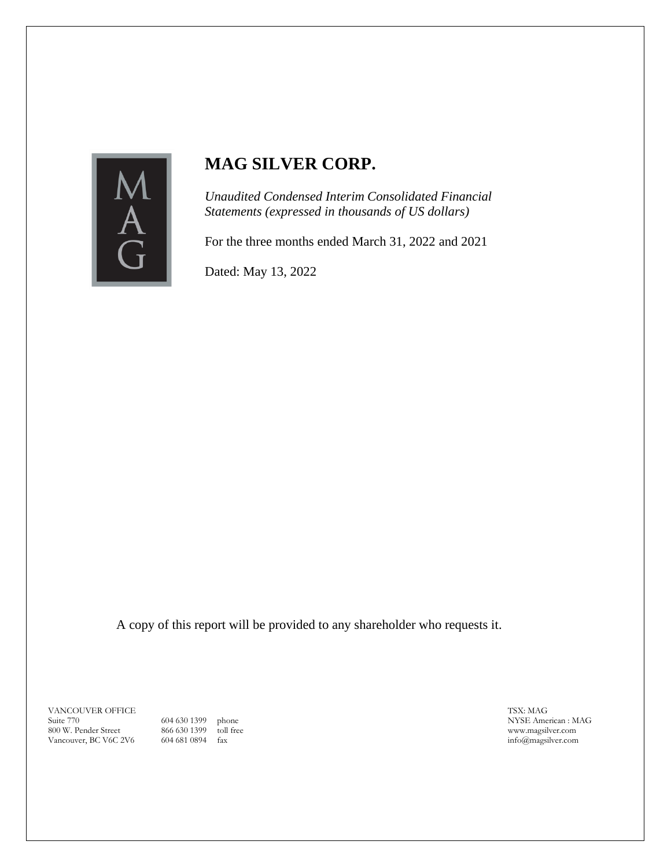

## **MAG SILVER CORP.**

*Unaudited Condensed Interim Consolidated Financial Statements (expressed in thousands of US dollars)*

For the three months ended March 31, 2022 and 2021

Dated: May 13, 2022

A copy of this report will be provided to any shareholder who requests it.

VANCOUVER OFFICE Suite 770 800 W. Pender Street Vancouver, BC V6C 2V6

604 630 1399 phone 866 630 1399 toll free 604 681 0894 fax

TSX: MAG NYSE American : MAG www.magsilver.com info@magsilver.com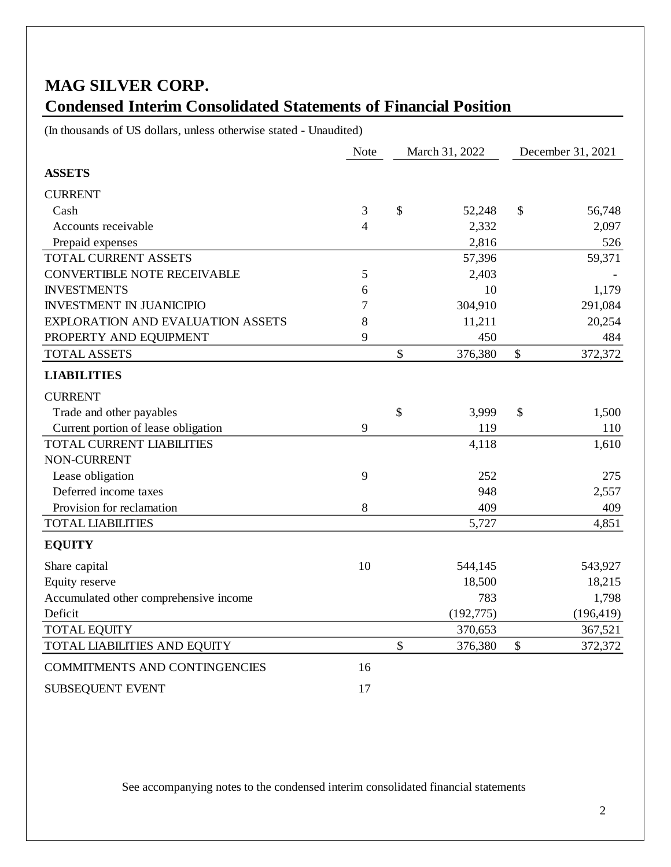# **MAG SILVER CORP. Condensed Interim Consolidated Statements of Financial Position**

(In thousands of US dollars, unless otherwise stated - Unaudited)

|                                          | <b>Note</b>    | March 31, 2022 |            | December 31, 2021 |            |
|------------------------------------------|----------------|----------------|------------|-------------------|------------|
| <b>ASSETS</b>                            |                |                |            |                   |            |
| <b>CURRENT</b>                           |                |                |            |                   |            |
| Cash                                     | 3              | \$             | 52,248     | \$                | 56,748     |
| Accounts receivable                      | $\overline{4}$ |                | 2,332      |                   | 2,097      |
| Prepaid expenses                         |                |                | 2,816      |                   | 526        |
| TOTAL CURRENT ASSETS                     |                |                | 57,396     |                   | 59,371     |
| <b>CONVERTIBLE NOTE RECEIVABLE</b>       | 5              |                | 2,403      |                   |            |
| <b>INVESTMENTS</b>                       | 6              |                | 10         |                   | 1,179      |
| <b>INVESTMENT IN JUANICIPIO</b>          | 7              |                | 304,910    |                   | 291,084    |
| <b>EXPLORATION AND EVALUATION ASSETS</b> | 8              |                | 11,211     |                   | 20,254     |
| PROPERTY AND EQUIPMENT                   | 9              |                | 450        |                   | 484        |
| TOTAL ASSETS                             |                | \$             | 376,380    | \$                | 372,372    |
| <b>LIABILITIES</b>                       |                |                |            |                   |            |
| <b>CURRENT</b>                           |                |                |            |                   |            |
| Trade and other payables                 |                | \$             | 3,999      | \$                | 1,500      |
| Current portion of lease obligation      | 9              |                | 119        |                   | 110        |
| TOTAL CURRENT LIABILITIES                |                |                | 4,118      |                   | 1,610      |
| NON-CURRENT                              |                |                |            |                   |            |
| Lease obligation                         | 9              |                | 252        |                   | 275        |
| Deferred income taxes                    |                |                | 948        |                   | 2,557      |
| Provision for reclamation                | 8              |                | 409        |                   | 409        |
| <b>TOTAL LIABILITIES</b>                 |                |                | 5,727      |                   | 4,851      |
| <b>EQUITY</b>                            |                |                |            |                   |            |
| Share capital                            | 10             |                | 544,145    |                   | 543,927    |
| Equity reserve                           |                |                | 18,500     |                   | 18,215     |
| Accumulated other comprehensive income   |                |                | 783        |                   | 1,798      |
| Deficit                                  |                |                | (192, 775) |                   | (196, 419) |
| <b>TOTAL EQUITY</b>                      |                |                | 370,653    |                   | 367,521    |
| TOTAL LIABILITIES AND EQUITY             |                | \$             | 376,380    | \$                | 372,372    |
| COMMITMENTS AND CONTINGENCIES            | 16             |                |            |                   |            |
| SUBSEQUENT EVENT                         | 17             |                |            |                   |            |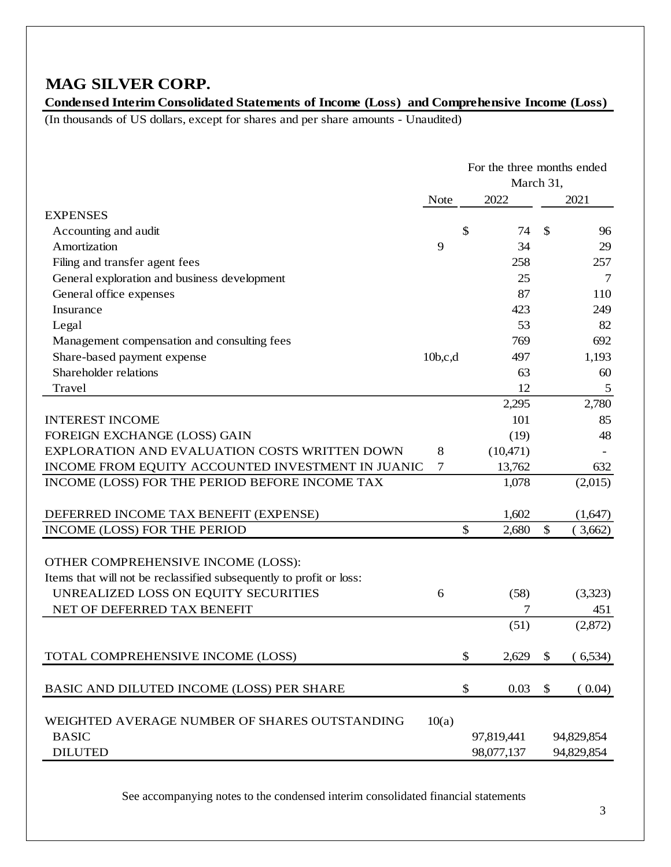### **MAG SILVER CORP.**

**Condensed Interim Consolidated Statements of Income (Loss) and Comprehensive Income (Loss)** 

(In thousands of US dollars, except for shares and per share amounts - Unaudited)

|                                                                     | For the three months ended |    |            |                           |            |
|---------------------------------------------------------------------|----------------------------|----|------------|---------------------------|------------|
|                                                                     | March 31,                  |    |            |                           |            |
|                                                                     | <b>Note</b>                |    | 2022       |                           | 2021       |
| <b>EXPENSES</b>                                                     |                            |    |            |                           |            |
| Accounting and audit                                                |                            | \$ | 74         | $\mathcal{S}$             | 96         |
| Amortization                                                        | 9                          |    | 34         |                           | 29         |
| Filing and transfer agent fees                                      |                            |    | 258        |                           | 257        |
| General exploration and business development                        |                            |    | 25         |                           | 7          |
| General office expenses                                             |                            |    | 87         |                           | 110        |
| Insurance                                                           |                            |    | 423        |                           | 249        |
| Legal                                                               |                            |    | 53         |                           | 82         |
| Management compensation and consulting fees                         |                            |    | 769        |                           | 692        |
| Share-based payment expense                                         | 10b,c,d                    |    | 497        |                           | 1,193      |
| Shareholder relations                                               |                            |    | 63         |                           | 60         |
| Travel                                                              |                            |    | 12         |                           | 5          |
|                                                                     |                            |    | 2,295      |                           | 2,780      |
| <b>INTEREST INCOME</b>                                              |                            |    | 101        |                           | 85         |
| FOREIGN EXCHANGE (LOSS) GAIN                                        |                            |    | (19)       |                           | 48         |
| EXPLORATION AND EVALUATION COSTS WRITTEN DOWN                       | 8                          |    | (10,471)   |                           |            |
| INCOME FROM EQUITY ACCOUNTED INVESTMENT IN JUANIC                   | 7                          |    | 13,762     |                           | 632        |
| INCOME (LOSS) FOR THE PERIOD BEFORE INCOME TAX                      |                            |    | 1,078      |                           | (2,015)    |
|                                                                     |                            |    |            |                           |            |
| DEFERRED INCOME TAX BENEFIT (EXPENSE)                               |                            |    | 1,602      |                           | (1,647)    |
| INCOME (LOSS) FOR THE PERIOD                                        |                            | \$ | 2,680      | \$                        | (3,662)    |
| OTHER COMPREHENSIVE INCOME (LOSS):                                  |                            |    |            |                           |            |
| Items that will not be reclassified subsequently to profit or loss: |                            |    |            |                           |            |
| UNREALIZED LOSS ON EQUITY SECURITIES                                | 6                          |    | (58)       |                           | (3,323)    |
| NET OF DEFERRED TAX BENEFIT                                         |                            |    | 7          |                           | 451        |
|                                                                     |                            |    | (51)       |                           | (2,872)    |
|                                                                     |                            |    |            |                           |            |
| TOTAL COMPREHENSIVE INCOME (LOSS)                                   |                            | \$ | 2,629      | \$                        | (6, 534)   |
| BASIC AND DILUTED INCOME (LOSS) PER SHARE                           |                            | \$ | 0.03       | $\boldsymbol{\mathsf{S}}$ | (0.04)     |
|                                                                     |                            |    |            |                           |            |
| WEIGHTED AVERAGE NUMBER OF SHARES OUTSTANDING                       | 10(a)                      |    |            |                           |            |
| <b>BASIC</b>                                                        |                            |    | 97,819,441 |                           | 94,829,854 |
| <b>DILUTED</b>                                                      |                            |    | 98,077,137 |                           | 94,829,854 |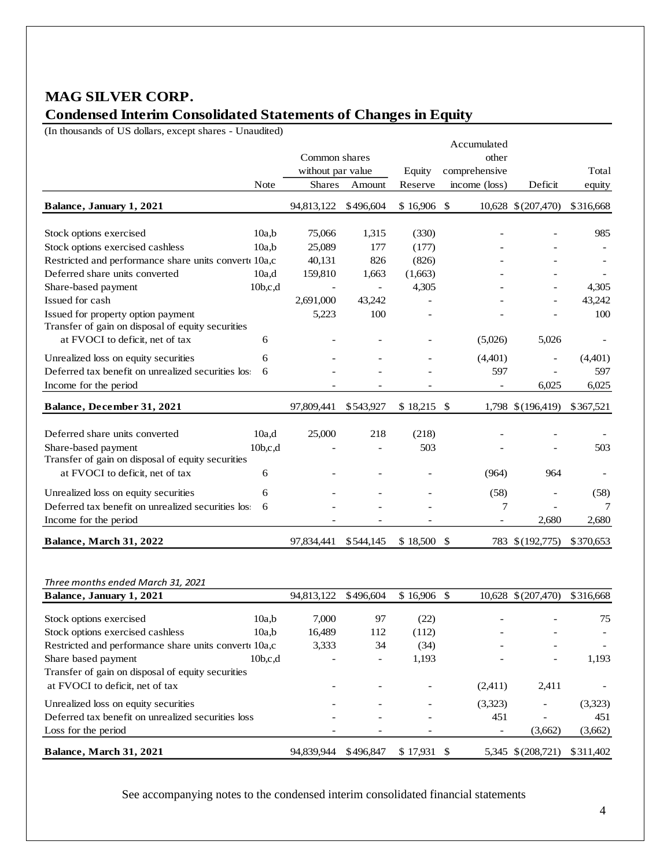### **MAG SILVER CORP. Condensed Interim Consolidated Statements of Changes in Equity**

(In thousands of US dollars, except shares - Unaudited)

|                                                      |                     | Common shares            |                          |                 | other                    |                          |           |
|------------------------------------------------------|---------------------|--------------------------|--------------------------|-----------------|--------------------------|--------------------------|-----------|
|                                                      |                     | without par value        |                          | Equity          | comprehensive            |                          | Total     |
|                                                      | Note                | <b>Shares</b>            | Amount                   | Reserve         | income (loss)            | Deficit                  | equity    |
| Balance, January 1, 2021                             |                     | 94,813,122               | \$496,604                | $$16,906$ \\$   |                          | 10,628 \$ (207,470)      | \$316,668 |
| Stock options exercised                              | 10a.b               | 75,066                   | 1,315                    | (330)           |                          |                          | 985       |
| Stock options exercised cashless                     | 10a.b               | 25,089                   | 177                      | (177)           |                          |                          |           |
| Restricted and performance share units convert 10a,c |                     | 40,131                   | 826                      | (826)           |                          |                          |           |
| Deferred share units converted                       | 10a.d               | 159,810                  | 1,663                    | (1,663)         |                          |                          |           |
| Share-based payment                                  | 10 <sub>b,c,d</sub> | $\overline{\phantom{a}}$ | $\overline{\phantom{a}}$ | 4,305           |                          | $\overline{\phantom{a}}$ | 4,305     |
| Issued for cash                                      |                     | 2,691,000                | 43,242                   |                 |                          |                          | 43,242    |
| Issued for property option payment                   |                     | 5,223                    | 100                      |                 |                          |                          | 100       |
| Transfer of gain on disposal of equity securities    |                     |                          |                          |                 |                          |                          |           |
| at FVOCI to deficit, net of tax                      | 6                   |                          |                          |                 | (5,026)                  | 5,026                    |           |
| Unrealized loss on equity securities                 | 6                   |                          |                          |                 | (4,401)                  | $\overline{a}$           | (4,401)   |
| Deferred tax benefit on unrealized securities loss   | 6                   |                          |                          |                 | 597                      |                          | 597       |
| Income for the period                                |                     |                          |                          |                 |                          | 6,025                    | 6,025     |
| Balance, December 31, 2021                           |                     | 97,809,441               | \$543,927                | $$18,215$ \, \$ |                          | 1,798 \$ (196,419)       | \$367,521 |
| Deferred share units converted                       | 10a,d               | 25,000                   | 218                      | (218)           |                          |                          |           |
| Share-based payment                                  | 10b,c,d             |                          |                          | 503             |                          |                          | 503       |
| Transfer of gain on disposal of equity securities    |                     |                          |                          |                 |                          |                          |           |
| at FVOCI to deficit, net of tax                      | 6                   |                          |                          |                 | (964)                    | 964                      |           |
| Unrealized loss on equity securities                 | 6                   |                          |                          |                 | (58)                     | $\overline{\phantom{a}}$ | (58)      |
| Deferred tax benefit on unrealized securities loss   | 6                   |                          |                          |                 | 7                        |                          | 7         |
| Income for the period                                |                     |                          |                          |                 | $\overline{\phantom{a}}$ | 2.680                    | 2,680     |
| <b>Balance, March 31, 2022</b>                       |                     | 97.834.441               | \$544,145                | \$18,500        | \$<br>783                | \$(192,775)              | \$370,653 |

#### *Three months ended March 31, 2021*

| Balance, January 1, 2021                             |                     | 94.813.122 | \$496,604                | $$16.906$ \$ |                          | 10,628 \$ (207,470)      | \$316,668                |
|------------------------------------------------------|---------------------|------------|--------------------------|--------------|--------------------------|--------------------------|--------------------------|
|                                                      |                     |            |                          |              |                          |                          |                          |
| Stock options exercised                              | 10a.b               | 7.000      | 97                       | (22)         |                          |                          | 75                       |
| Stock options exercised cashless                     | 10a.b               | 16,489     | 112                      | (112)        |                          |                          | $\overline{\phantom{a}}$ |
| Restricted and performance share units convert 10a,c |                     | 3.333      | 34                       | (34)         |                          |                          | $\overline{\phantom{0}}$ |
| Share based payment                                  | 10 <sub>b,c,d</sub> |            | $\overline{\phantom{a}}$ | 1,193        |                          |                          | 1,193                    |
| Transfer of gain on disposal of equity securities    |                     |            |                          |              |                          |                          |                          |
| at FVOCI to deficit, net of tax                      |                     |            |                          |              | (2,411)                  | 2,411                    |                          |
| Unrealized loss on equity securities                 |                     |            |                          |              | (3,323)                  | $\overline{\phantom{a}}$ | (3,323)                  |
| Deferred tax benefit on unrealized securities loss   |                     |            |                          |              | 451                      |                          | 451                      |
| Loss for the period                                  |                     |            |                          |              | $\overline{\phantom{a}}$ | (3,662)                  | (3,662)                  |
| <b>Balance, March 31, 2021</b>                       |                     | 94.839.944 | \$496,847                | \$17.931     |                          | 5.345 \$(208.721)        | \$311.402                |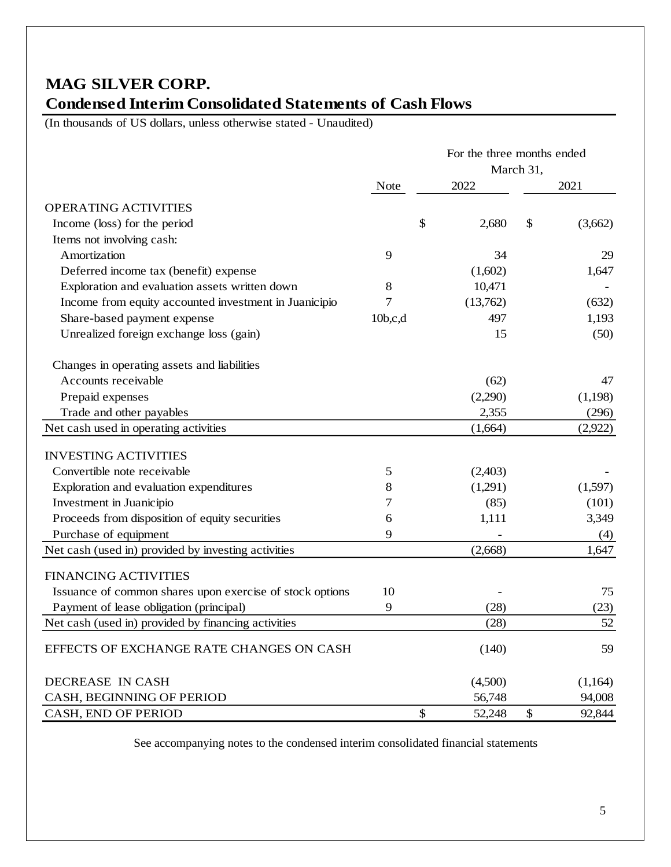## **MAG SILVER CORP. Condensed Interim Consolidated Statements of Cash Flows**

(In thousands of US dollars, unless otherwise stated - Unaudited)

|                                                          |             | For the three months ended |           |    |         |
|----------------------------------------------------------|-------------|----------------------------|-----------|----|---------|
|                                                          |             |                            | March 31, |    |         |
|                                                          | <b>Note</b> |                            | 2022      |    | 2021    |
| OPERATING ACTIVITIES                                     |             |                            |           |    |         |
| Income (loss) for the period                             |             | \$                         | 2,680     | \$ | (3,662) |
| Items not involving cash:                                |             |                            |           |    |         |
| Amortization                                             | 9           |                            | 34        |    | 29      |
| Deferred income tax (benefit) expense                    |             |                            | (1,602)   |    | 1,647   |
| Exploration and evaluation assets written down           | 8           |                            | 10,471    |    |         |
| Income from equity accounted investment in Juanicipio    | 7           |                            | (13,762)  |    | (632)   |
| Share-based payment expense                              | 10b,c,d     |                            | 497       |    | 1,193   |
| Unrealized foreign exchange loss (gain)                  |             |                            | 15        |    | (50)    |
| Changes in operating assets and liabilities              |             |                            |           |    |         |
| Accounts receivable                                      |             |                            | (62)      |    | 47      |
| Prepaid expenses                                         |             |                            | (2,290)   |    | (1,198) |
| Trade and other payables                                 |             |                            | 2,355     |    | (296)   |
| Net cash used in operating activities                    |             |                            | (1,664)   |    | (2,922) |
| <b>INVESTING ACTIVITIES</b>                              |             |                            |           |    |         |
| Convertible note receivable                              | 5           |                            | (2,403)   |    |         |
| Exploration and evaluation expenditures                  | 8           |                            | (1,291)   |    | (1,597) |
| Investment in Juanicipio                                 | 7           |                            | (85)      |    | (101)   |
| Proceeds from disposition of equity securities           | 6           |                            | 1,111     |    | 3,349   |
| Purchase of equipment                                    | 9           |                            |           |    | (4)     |
| Net cash (used in) provided by investing activities      |             |                            | (2,668)   |    | 1,647   |
| <b>FINANCING ACTIVITIES</b>                              |             |                            |           |    |         |
| Issuance of common shares upon exercise of stock options | 10          |                            |           |    | 75      |
| Payment of lease obligation (principal)                  | 9           |                            | (28)      |    | (23)    |
| Net cash (used in) provided by financing activities      |             |                            | (28)      |    | 52      |
| EFFECTS OF EXCHANGE RATE CHANGES ON CASH                 |             |                            | (140)     |    | 59      |
| DECREASE IN CASH                                         |             |                            | (4,500)   |    | (1,164) |
| CASH, BEGINNING OF PERIOD                                |             |                            | 56,748    |    | 94,008  |
| CASH, END OF PERIOD                                      |             | \$                         | 52,248    | \$ | 92,844  |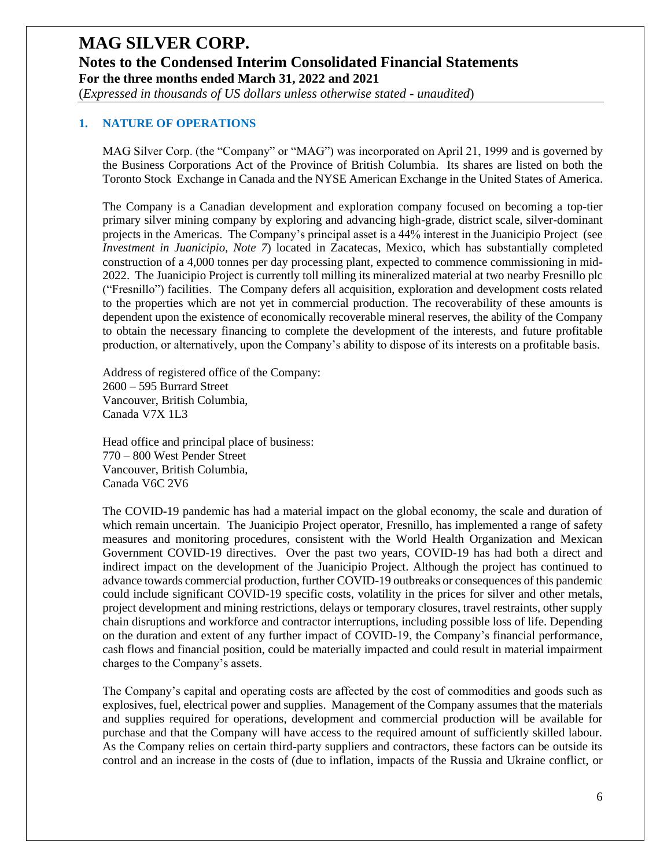### **MAG SILVER CORP. Notes to the Condensed Interim Consolidated Financial Statements For the three months ended March 31, 2022 and 2021** (*Expressed in thousands of US dollars unless otherwise stated - unaudited*)

#### **1. NATURE OF OPERATIONS**

MAG Silver Corp. (the "Company" or "MAG") was incorporated on April 21, 1999 and is governed by the Business Corporations Act of the Province of British Columbia. Its shares are listed on both the Toronto Stock Exchange in Canada and the NYSE American Exchange in the United States of America.

The Company is a Canadian development and exploration company focused on becoming a top-tier primary silver mining company by exploring and advancing high-grade, district scale, silver-dominant projects in the Americas. The Company's principal asset is a 44% interest in the Juanicipio Project (see *Investment in Juanicipio, Note 7*) located in Zacatecas, Mexico, which has substantially completed construction of a 4,000 tonnes per day processing plant, expected to commence commissioning in mid-2022. The Juanicipio Project is currently toll milling its mineralized material at two nearby Fresnillo plc ("Fresnillo") facilities. The Company defers all acquisition, exploration and development costs related to the properties which are not yet in commercial production. The recoverability of these amounts is dependent upon the existence of economically recoverable mineral reserves, the ability of the Company to obtain the necessary financing to complete the development of the interests, and future profitable production, or alternatively, upon the Company's ability to dispose of its interests on a profitable basis.

Address of registered office of the Company: 2600 – 595 Burrard Street Vancouver, British Columbia, Canada V7X 1L3

Head office and principal place of business: 770 – 800 West Pender Street Vancouver, British Columbia, Canada V6C 2V6

The COVID-19 pandemic has had a material impact on the global economy, the scale and duration of which remain uncertain. The Juanicipio Project operator, Fresnillo, has implemented a range of safety measures and monitoring procedures, consistent with the World Health Organization and Mexican Government COVID-19 directives. Over the past two years, COVID-19 has had both a direct and indirect impact on the development of the Juanicipio Project. Although the project has continued to advance towards commercial production, further COVID-19 outbreaks or consequences of this pandemic could include significant COVID-19 specific costs, volatility in the prices for silver and other metals, project development and mining restrictions, delays or temporary closures, travel restraints, other supply chain disruptions and workforce and contractor interruptions, including possible loss of life. Depending on the duration and extent of any further impact of COVID-19, the Company's financial performance, cash flows and financial position, could be materially impacted and could result in material impairment charges to the Company's assets.

The Company's capital and operating costs are affected by the cost of commodities and goods such as explosives, fuel, electrical power and supplies. Management of the Company assumes that the materials and supplies required for operations, development and commercial production will be available for purchase and that the Company will have access to the required amount of sufficiently skilled labour. As the Company relies on certain third-party suppliers and contractors, these factors can be outside its control and an increase in the costs of (due to inflation, impacts of the Russia and Ukraine conflict, or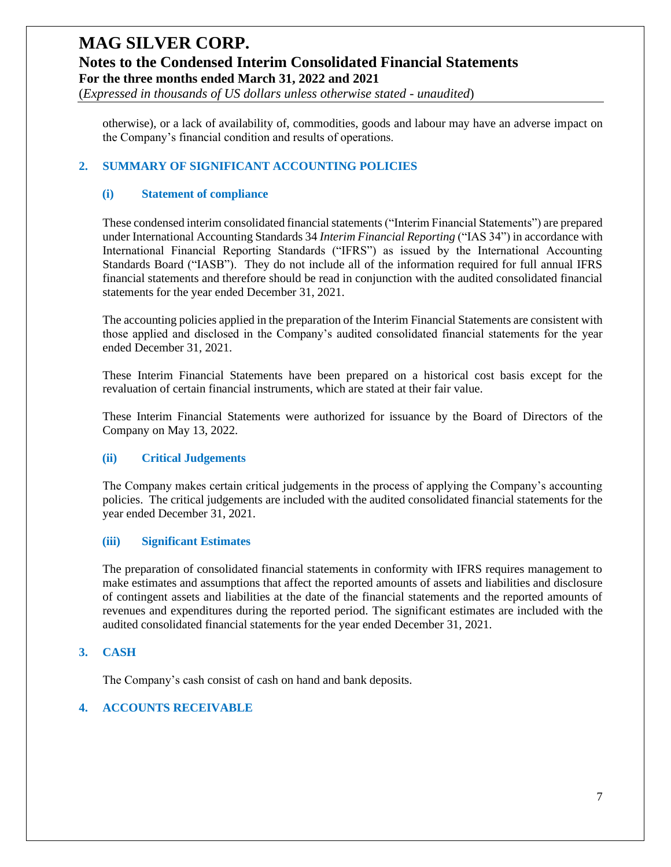(*Expressed in thousands of US dollars unless otherwise stated - unaudited*)

otherwise), or a lack of availability of, commodities, goods and labour may have an adverse impact on the Company's financial condition and results of operations.

#### **2. SUMMARY OF SIGNIFICANT ACCOUNTING POLICIES**

#### **(i) Statement of compliance**

These condensed interim consolidated financial statements("Interim Financial Statements") are prepared under International Accounting Standards 34 *Interim Financial Reporting* ("IAS 34") in accordance with International Financial Reporting Standards ("IFRS") as issued by the International Accounting Standards Board ("IASB"). They do not include all of the information required for full annual IFRS financial statements and therefore should be read in conjunction with the audited consolidated financial statements for the year ended December 31, 2021.

The accounting policies applied in the preparation of the Interim Financial Statements are consistent with those applied and disclosed in the Company's audited consolidated financial statements for the year ended December 31, 2021.

These Interim Financial Statements have been prepared on a historical cost basis except for the revaluation of certain financial instruments, which are stated at their fair value.

These Interim Financial Statements were authorized for issuance by the Board of Directors of the Company on May 13, 2022.

#### **(ii) Critical Judgements**

The Company makes certain critical judgements in the process of applying the Company's accounting policies. The critical judgements are included with the audited consolidated financial statements for the year ended December 31, 2021.

#### **(iii) Significant Estimates**

The preparation of consolidated financial statements in conformity with IFRS requires management to make estimates and assumptions that affect the reported amounts of assets and liabilities and disclosure of contingent assets and liabilities at the date of the financial statements and the reported amounts of revenues and expenditures during the reported period. The significant estimates are included with the audited consolidated financial statements for the year ended December 31, 2021.

#### **3. CASH**

The Company's cash consist of cash on hand and bank deposits.

#### **4. ACCOUNTS RECEIVABLE**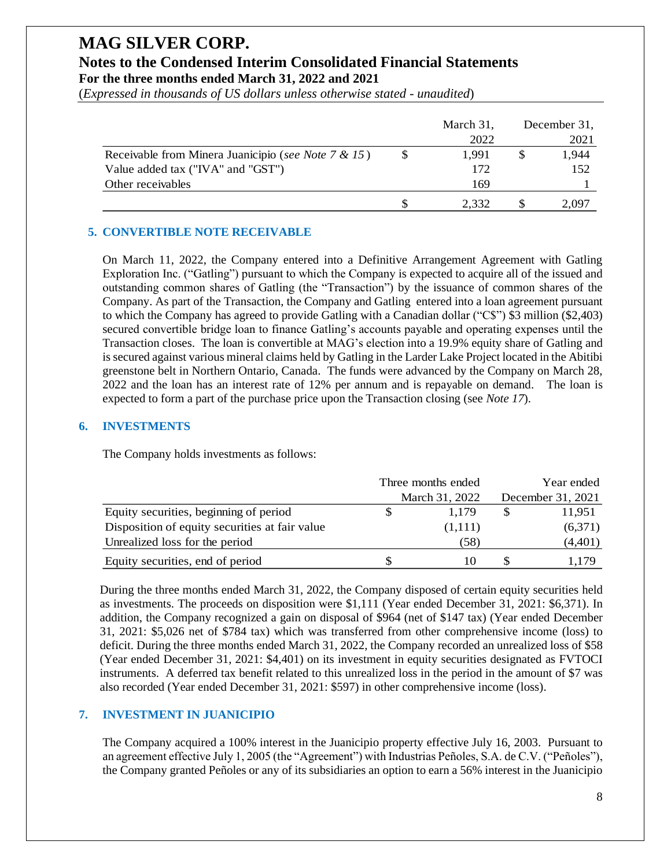(*Expressed in thousands of US dollars unless otherwise stated - unaudited*)

|                                                     | March 31, | December 31, |
|-----------------------------------------------------|-----------|--------------|
|                                                     | 2022      | 2021         |
| Receivable from Minera Juanicipio (see Note 7 & 15) | 1.991     | 1,944        |
| Value added tax ("IVA" and "GST")                   | 172       | 152          |
| Other receivables                                   | 169       |              |
|                                                     | 2.332     | 2.097        |

#### **5. CONVERTIBLE NOTE RECEIVABLE**

On March 11, 2022, the Company entered into a Definitive Arrangement Agreement with Gatling Exploration Inc. ("Gatling") pursuant to which the Company is expected to acquire all of the issued and outstanding common shares of Gatling (the "Transaction") by the issuance of common shares of the Company. As part of the Transaction, the Company and Gatling entered into a loan agreement pursuant to which the Company has agreed to provide Gatling with a Canadian dollar ("C\$") \$3 million (\$2,403) secured convertible bridge loan to finance Gatling's accounts payable and operating expenses until the Transaction closes. The loan is convertible at MAG's election into a 19.9% equity share of Gatling and is secured against various mineral claims held by Gatling in the Larder Lake Project located in the Abitibi greenstone belt in Northern Ontario, Canada. The funds were advanced by the Company on March 28, 2022 and the loan has an interest rate of 12% per annum and is repayable on demand. The loan is expected to form a part of the purchase price upon the Transaction closing (see *Note 17*).

#### **6. INVESTMENTS**

The Company holds investments as follows:

|                                                | Three months ended | Year ended        |
|------------------------------------------------|--------------------|-------------------|
|                                                | March 31, 2022     | December 31, 2021 |
| Equity securities, beginning of period         | 1.179              | 11.951            |
| Disposition of equity securities at fair value | (1,111)            | (6,371)           |
| Unrealized loss for the period                 | (58)               | (4,401)           |
| Equity securities, end of period               |                    | 1.179             |

During the three months ended March 31, 2022, the Company disposed of certain equity securities held as investments. The proceeds on disposition were \$1,111 (Year ended December 31, 2021: \$6,371). In addition, the Company recognized a gain on disposal of \$964 (net of \$147 tax) (Year ended December 31, 2021: \$5,026 net of \$784 tax) which was transferred from other comprehensive income (loss) to deficit. During the three months ended March 31, 2022, the Company recorded an unrealized loss of \$58 (Year ended December 31, 2021: \$4,401) on its investment in equity securities designated as FVTOCI instruments. A deferred tax benefit related to this unrealized loss in the period in the amount of \$7 was also recorded (Year ended December 31, 2021: \$597) in other comprehensive income (loss).

#### **7. INVESTMENT IN JUANICIPIO**

The Company acquired a 100% interest in the Juanicipio property effective July 16, 2003. Pursuant to an agreement effective July 1, 2005 (the "Agreement") with Industrias Peñoles, S.A. de C.V. ("Peñoles"), the Company granted Peñoles or any of its subsidiaries an option to earn a 56% interest in the Juanicipio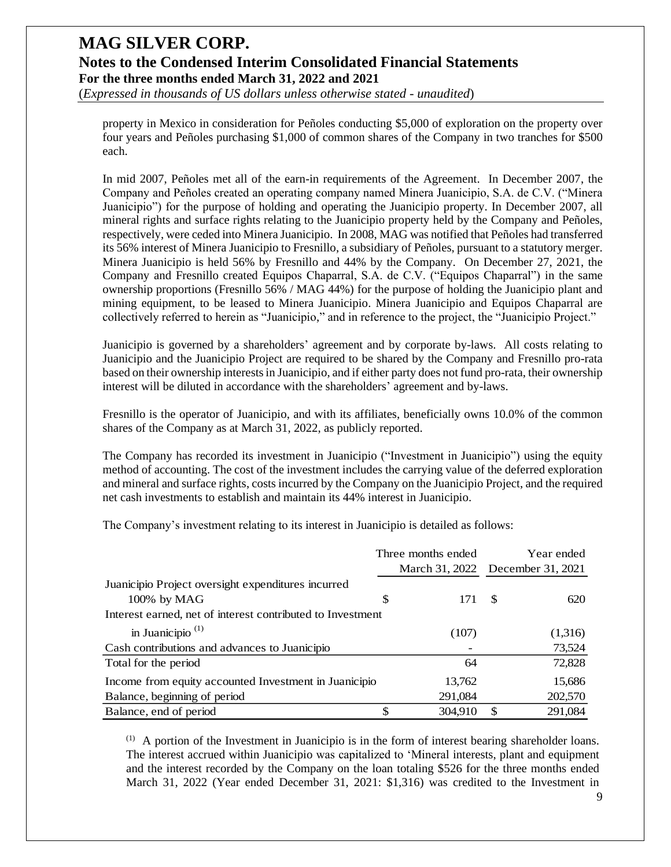(*Expressed in thousands of US dollars unless otherwise stated - unaudited*)

property in Mexico in consideration for Peñoles conducting \$5,000 of exploration on the property over four years and Peñoles purchasing \$1,000 of common shares of the Company in two tranches for \$500 each.

In mid 2007, Peñoles met all of the earn-in requirements of the Agreement. In December 2007, the Company and Peñoles created an operating company named Minera Juanicipio, S.A. de C.V. ("Minera Juanicipio") for the purpose of holding and operating the Juanicipio property. In December 2007, all mineral rights and surface rights relating to the Juanicipio property held by the Company and Peñoles, respectively, were ceded into Minera Juanicipio. In 2008, MAG was notified that Peñoles had transferred its 56% interest of Minera Juanicipio to Fresnillo, a subsidiary of Peñoles, pursuant to a statutory merger. Minera Juanicipio is held 56% by Fresnillo and 44% by the Company. On December 27, 2021, the Company and Fresnillo created Equipos Chaparral, S.A. de C.V. ("Equipos Chaparral") in the same ownership proportions (Fresnillo 56% / MAG 44%) for the purpose of holding the Juanicipio plant and mining equipment, to be leased to Minera Juanicipio. Minera Juanicipio and Equipos Chaparral are collectively referred to herein as "Juanicipio," and in reference to the project, the "Juanicipio Project."

Juanicipio is governed by a shareholders' agreement and by corporate by-laws. All costs relating to Juanicipio and the Juanicipio Project are required to be shared by the Company and Fresnillo pro-rata based on their ownership interests in Juanicipio, and if either party does not fund pro-rata, their ownership interest will be diluted in accordance with the shareholders' agreement and by-laws.

Fresnillo is the operator of Juanicipio, and with its affiliates, beneficially owns 10.0% of the common shares of the Company as at March 31, 2022, as publicly reported.

The Company has recorded its investment in Juanicipio ("Investment in Juanicipio") using the equity method of accounting. The cost of the investment includes the carrying value of the deferred exploration and mineral and surface rights, costs incurred by the Company on the Juanicipio Project, and the required net cash investments to establish and maintain its 44% interest in Juanicipio.

The Company's investment relating to its interest in Juanicipio is detailed as follows:

|                                                            |    | Three months ended               | Year ended   |         |  |  |
|------------------------------------------------------------|----|----------------------------------|--------------|---------|--|--|
|                                                            |    | March 31, 2022 December 31, 2021 |              |         |  |  |
| Juanicipio Project oversight expenditures incurred         |    |                                  |              |         |  |  |
| 100% by MAG                                                | S  | 171                              | <sup>S</sup> | 620     |  |  |
| Interest earned, net of interest contributed to Investment |    |                                  |              |         |  |  |
| in Juanicipio <sup><math>(1)</math></sup>                  |    | (107)                            |              | (1,316) |  |  |
| Cash contributions and advances to Juanicipio              |    |                                  |              | 73,524  |  |  |
| Total for the period                                       |    | 64                               |              | 72,828  |  |  |
| Income from equity accounted Investment in Juanicipio      |    | 13,762                           |              | 15,686  |  |  |
| Balance, beginning of period                               |    | 291,084                          |              | 202,570 |  |  |
| Balance, end of period                                     | \$ | 304,910                          | \$.          | 291,084 |  |  |

(1) A portion of the Investment in Juanicipio is in the form of interest bearing shareholder loans. The interest accrued within Juanicipio was capitalized to 'Mineral interests, plant and equipment and the interest recorded by the Company on the loan totaling \$526 for the three months ended March 31, 2022 (Year ended December 31, 2021: \$1,316) was credited to the Investment in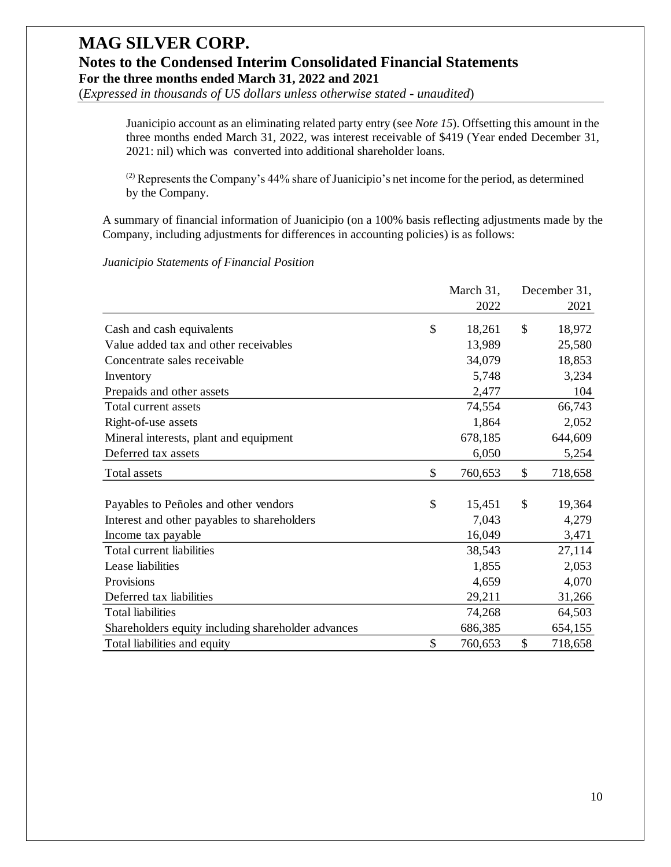(*Expressed in thousands of US dollars unless otherwise stated - unaudited*)

Juanicipio account as an eliminating related party entry (see *Note 15*). Offsetting this amount in the three months ended March 31, 2022, was interest receivable of \$419 (Year ended December 31, 2021: nil) which was converted into additional shareholder loans.

(2) Represents the Company's 44% share of Juanicipio's net income for the period, as determined by the Company.

A summary of financial information of Juanicipio (on a 100% basis reflecting adjustments made by the Company, including adjustments for differences in accounting policies) is as follows:

#### *Juanicipio Statements of Financial Position*

|                                                    | March 31,     | December 31,  |
|----------------------------------------------------|---------------|---------------|
|                                                    | 2022          | 2021          |
| Cash and cash equivalents                          | \$<br>18,261  | \$<br>18,972  |
| Value added tax and other receivables              | 13,989        | 25,580        |
| Concentrate sales receivable                       | 34,079        | 18,853        |
| Inventory                                          | 5,748         | 3,234         |
| Prepaids and other assets                          | 2,477         | 104           |
| Total current assets                               | 74,554        | 66,743        |
| Right-of-use assets                                | 1,864         | 2,052         |
| Mineral interests, plant and equipment             | 678,185       | 644,609       |
| Deferred tax assets                                | 6,050         | 5,254         |
| Total assets                                       | \$<br>760,653 | \$<br>718,658 |
| Payables to Peñoles and other vendors              | \$<br>15,451  | \$<br>19,364  |
| Interest and other payables to shareholders        | 7,043         | 4,279         |
| Income tax payable                                 | 16,049        | 3,471         |
| Total current liabilities                          | 38,543        | 27,114        |
| Lease liabilities                                  | 1,855         | 2,053         |
| Provisions                                         | 4,659         | 4,070         |
| Deferred tax liabilities                           | 29,211        | 31,266        |
| <b>Total liabilities</b>                           | 74,268        | 64,503        |
| Shareholders equity including shareholder advances | 686,385       | 654,155       |
| Total liabilities and equity                       | \$<br>760,653 | \$<br>718,658 |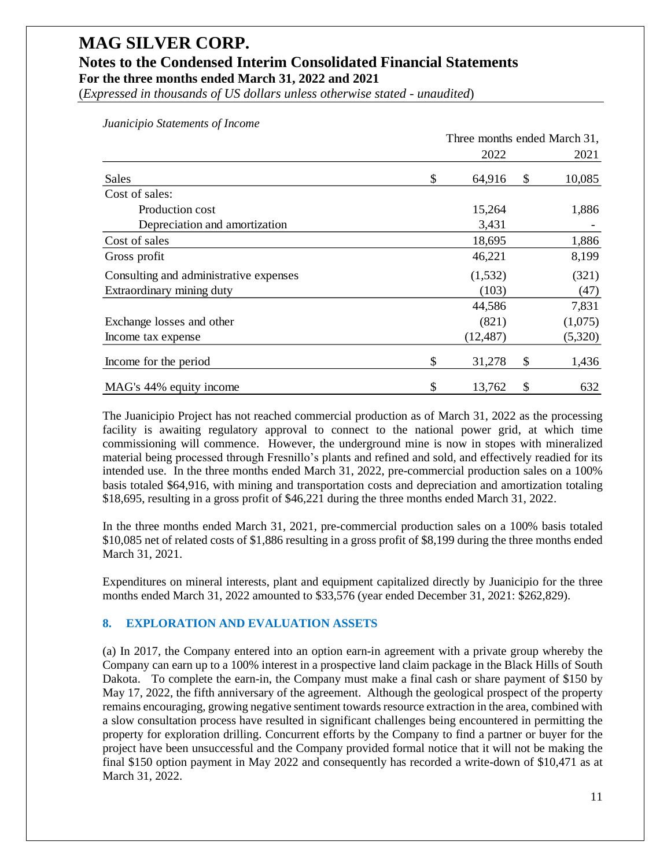(*Expressed in thousands of US dollars unless otherwise stated - unaudited*)

|                                        | Three months ended March 31, |           |    |         |  |
|----------------------------------------|------------------------------|-----------|----|---------|--|
|                                        |                              | 2022      |    | 2021    |  |
| Sales                                  | \$                           | 64,916    | \$ | 10,085  |  |
| Cost of sales:                         |                              |           |    |         |  |
| Production cost                        |                              | 15,264    |    | 1,886   |  |
| Depreciation and amortization          |                              | 3,431     |    |         |  |
| Cost of sales                          |                              | 18,695    |    | 1,886   |  |
| Gross profit                           |                              | 46,221    |    | 8,199   |  |
| Consulting and administrative expenses |                              | (1,532)   |    | (321)   |  |
| Extraordinary mining duty              |                              | (103)     |    | (47)    |  |
|                                        |                              | 44,586    |    | 7,831   |  |
| Exchange losses and other              |                              | (821)     |    | (1,075) |  |
| Income tax expense                     |                              | (12, 487) |    | (5,320) |  |
| Income for the period                  | \$                           | 31,278    | \$ | 1,436   |  |
| MAG's 44% equity income                | \$                           | 13,762    | \$ | 632     |  |

*Juanicipio Statements of Income*

The Juanicipio Project has not reached commercial production as of March 31, 2022 as the processing facility is awaiting regulatory approval to connect to the national power grid, at which time commissioning will commence. However, the underground mine is now in stopes with mineralized material being processed through Fresnillo's plants and refined and sold, and effectively readied for its intended use. In the three months ended March 31, 2022, pre-commercial production sales on a 100% basis totaled \$64,916, with mining and transportation costs and depreciation and amortization totaling \$18,695, resulting in a gross profit of \$46,221 during the three months ended March 31, 2022.

In the three months ended March 31, 2021, pre-commercial production sales on a 100% basis totaled \$10,085 net of related costs of \$1,886 resulting in a gross profit of \$8,199 during the three months ended March 31, 2021.

Expenditures on mineral interests, plant and equipment capitalized directly by Juanicipio for the three months ended March 31, 2022 amounted to \$33,576 (year ended December 31, 2021: \$262,829).

#### **8. EXPLORATION AND EVALUATION ASSETS**

(a) In 2017, the Company entered into an option earn-in agreement with a private group whereby the Company can earn up to a 100% interest in a prospective land claim package in the Black Hills of South Dakota. To complete the earn-in, the Company must make a final cash or share payment of \$150 by May 17, 2022, the fifth anniversary of the agreement. Although the geological prospect of the property remains encouraging, growing negative sentiment towards resource extraction in the area, combined with a slow consultation process have resulted in significant challenges being encountered in permitting the property for exploration drilling. Concurrent efforts by the Company to find a partner or buyer for the project have been unsuccessful and the Company provided formal notice that it will not be making the final \$150 option payment in May 2022 and consequently has recorded a write-down of \$10,471 as at March 31, 2022.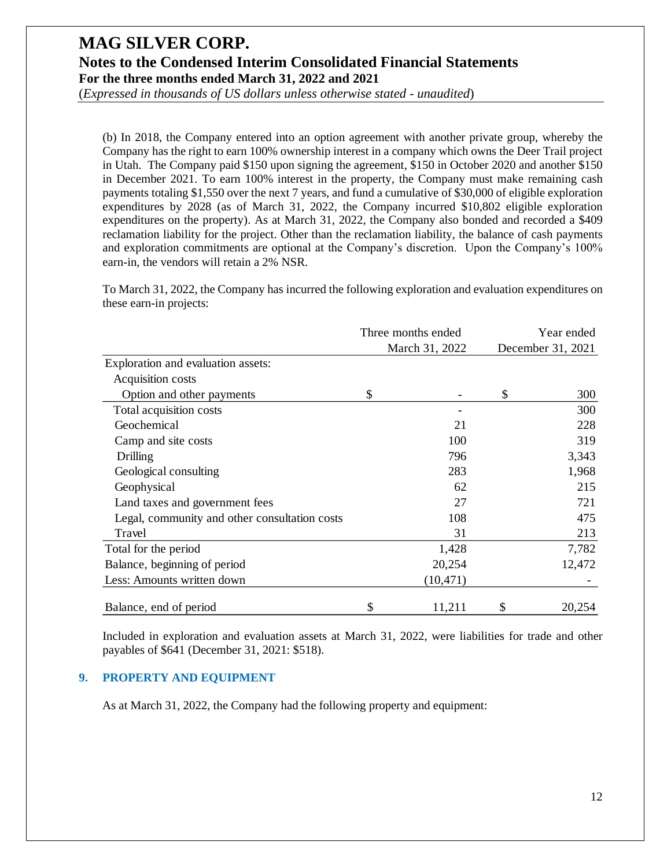(*Expressed in thousands of US dollars unless otherwise stated - unaudited*)

(b) In 2018, the Company entered into an option agreement with another private group, whereby the Company has the right to earn 100% ownership interest in a company which owns the Deer Trail project in Utah. The Company paid \$150 upon signing the agreement, \$150 in October 2020 and another \$150 in December 2021. To earn 100% interest in the property, the Company must make remaining cash payments totaling \$1,550 over the next 7 years, and fund a cumulative of \$30,000 of eligible exploration expenditures by 2028 (as of March 31, 2022, the Company incurred \$10,802 eligible exploration expenditures on the property). As at March 31, 2022, the Company also bonded and recorded a \$409 reclamation liability for the project. Other than the reclamation liability, the balance of cash payments and exploration commitments are optional at the Company's discretion. Upon the Company's 100% earn-in, the vendors will retain a 2% NSR.

To March 31, 2022, the Company has incurred the following exploration and evaluation expenditures on these earn-in projects:

|                                               | Three months ended | Year ended<br>December 31, 2021 |        |  |
|-----------------------------------------------|--------------------|---------------------------------|--------|--|
|                                               | March 31, 2022     |                                 |        |  |
| Exploration and evaluation assets:            |                    |                                 |        |  |
| Acquisition costs                             |                    |                                 |        |  |
| Option and other payments                     | \$                 | \$                              | 300    |  |
| Total acquisition costs                       |                    |                                 | 300    |  |
| Geochemical                                   | 21                 |                                 | 228    |  |
| Camp and site costs                           | 100                |                                 | 319    |  |
| Drilling                                      | 796                |                                 | 3,343  |  |
| Geological consulting                         | 283                |                                 | 1,968  |  |
| Geophysical                                   | 62                 |                                 | 215    |  |
| Land taxes and government fees                | 27                 |                                 | 721    |  |
| Legal, community and other consultation costs | 108                |                                 | 475    |  |
| Travel                                        | 31                 |                                 | 213    |  |
| Total for the period                          | 1,428              |                                 | 7,782  |  |
| Balance, beginning of period                  | 20,254             |                                 | 12,472 |  |
| Less: Amounts written down                    | (10, 471)          |                                 |        |  |
| Balance, end of period                        | \$<br>11,211       | \$                              | 20,254 |  |

Included in exploration and evaluation assets at March 31, 2022, were liabilities for trade and other payables of \$641 (December 31, 2021: \$518).

#### **9. PROPERTY AND EQUIPMENT**

As at March 31, 2022, the Company had the following property and equipment: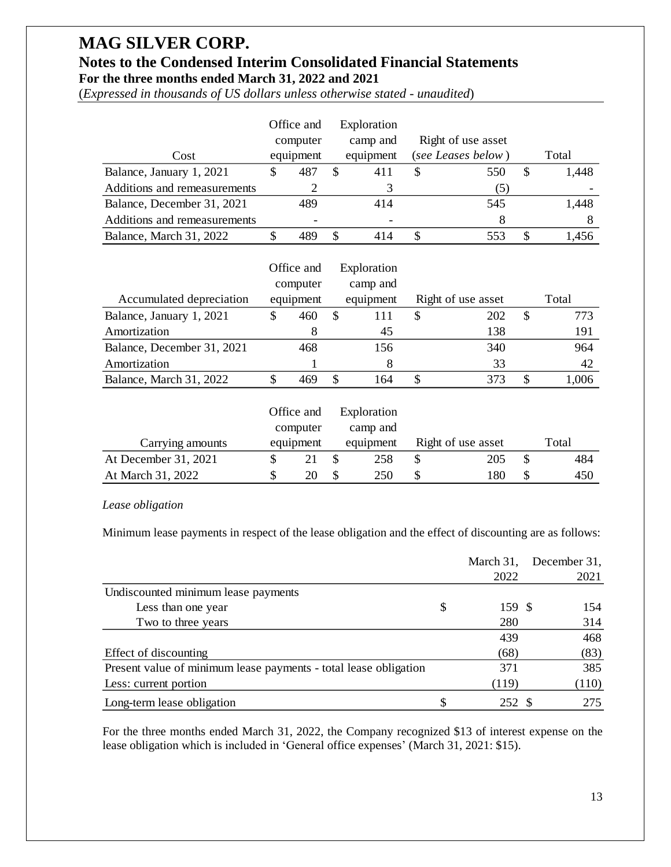# **MAG SILVER CORP.**

### **Notes to the Condensed Interim Consolidated Financial Statements For the three months ended March 31, 2022 and 2021**

(*Expressed in thousands of US dollars unless otherwise stated - unaudited*)

|                              |   | Office and |    | Exploration |   |                    |   |       |
|------------------------------|---|------------|----|-------------|---|--------------------|---|-------|
|                              |   | computer   |    | camp and    |   | Right of use asset |   |       |
| Cost                         |   | equipment  |    | equipment   |   | (see Leases below) |   | Total |
| Balance, January 1, 2021     | S | 487        | S  | 411         | S | 550                | S | 1,448 |
| Additions and remeasurements |   |            |    |             |   | (5)                |   |       |
| Balance, December 31, 2021   |   | 489        |    | 414         |   | 545                |   | 1,448 |
| Additions and remeasurements |   |            |    |             |   | 8                  |   |       |
| Balance, March 31, 2022      | S |            | S. | 414         |   |                    | S | 1.456 |

|                            |   | Office and<br>computer |     | Exploration<br>camp and |   |                    |   |       |
|----------------------------|---|------------------------|-----|-------------------------|---|--------------------|---|-------|
| Accumulated depreciation   |   | equipment              |     | equipment               |   | Right of use asset |   | Total |
| Balance, January 1, 2021   | S | 460                    | \$. | 111                     | S | 202                | S | 773   |
| Amortization               |   | 8                      |     | 45                      |   | 138                |   | 191   |
| Balance, December 31, 2021 |   | 468                    |     | 156                     |   | 340                |   | 964   |
| Amortization               |   |                        |     | 8                       |   | 33                 |   | 42    |
| Balance, March 31, 2022    |   |                        | S   | -64                     | S |                    |   | .006  |

|                      | Office and | Exploration |                    |       |
|----------------------|------------|-------------|--------------------|-------|
|                      | computer   | camp and    |                    |       |
| Carrying amounts     | equipment  | equipment   | Right of use asset | Total |
| At December 31, 2021 |            | 258         | 205                | 484   |
| At March 31, 2022    | 20         | 250         | 180                | 450   |

#### *Lease obligation*

| $\mathbb{S}$<br>\$<br>$\mathcal{S}$<br>\$<br>Balance, January 1, 2021<br>487<br>411<br>550<br>1,448<br>Additions and remeasurements<br>2<br>3<br>(5)<br>1,448<br>Balance, December 31, 2021<br>414<br>545<br>489<br>Additions and remeasurements<br>8<br>8<br>$\mathbb{S}$<br>\$<br>\$<br>553<br>\$<br>Balance, March 31, 2022<br>489<br>1,456<br>414<br>Office and<br>Exploration<br>camp and<br>computer<br>equipment<br>Right of use asset<br>Total<br>Accumulated depreciation<br>equipment<br>\$<br>\$<br>$\mathcal{S}$<br>\$<br>Balance, January 1, 2021<br>460<br>111<br>202<br>773<br>Amortization<br>138<br>191<br>8<br>45<br>Balance, December 31, 2021<br>468<br>156<br>340<br>964<br>Amortization<br>42<br>8<br>33<br>1<br>\$<br>\$<br>\$<br>Balance, March 31, 2022<br>\$<br>469<br>164<br>1,006<br>373<br>Office and<br>Exploration<br>computer<br>camp and<br>Right of use asset<br>Total<br>equipment<br>equipment<br>Carrying amounts<br>At December 31, 2021<br>\$<br>\$<br>258<br>\$<br>\$<br>21<br>205<br>484<br>At March 31, 2022<br>\$<br>\$<br>250<br>\$<br>\$<br>450<br>20<br>180<br>Lease obligation<br>Minimum lease payments in respect of the lease obligation and the effect of discounting are as follows:<br>March 31,<br>2022<br>Undiscounted minimum lease payments<br>\$<br>Less than one year<br>159<br>$\mathbb{S}$<br>280<br>Two to three years<br>439<br>Effect of discounting<br>(68)<br>371<br>Present value of minimum lease payments - total lease obligation<br>Less: current portion<br>(119)<br>\$<br>Long-term lease obligation<br>252 \$<br>For the three months ended March 31, 2022, the Company recognized \$13 of interest expense on the<br>lease obligation which is included in 'General office expenses' (March 31, 2021: \$15). | Cost | equipment | equipment | (see Leases below) | Total        |
|-----------------------------------------------------------------------------------------------------------------------------------------------------------------------------------------------------------------------------------------------------------------------------------------------------------------------------------------------------------------------------------------------------------------------------------------------------------------------------------------------------------------------------------------------------------------------------------------------------------------------------------------------------------------------------------------------------------------------------------------------------------------------------------------------------------------------------------------------------------------------------------------------------------------------------------------------------------------------------------------------------------------------------------------------------------------------------------------------------------------------------------------------------------------------------------------------------------------------------------------------------------------------------------------------------------------------------------------------------------------------------------------------------------------------------------------------------------------------------------------------------------------------------------------------------------------------------------------------------------------------------------------------------------------------------------------------------------------------------------------------------------------------------------------|------|-----------|-----------|--------------------|--------------|
|                                                                                                                                                                                                                                                                                                                                                                                                                                                                                                                                                                                                                                                                                                                                                                                                                                                                                                                                                                                                                                                                                                                                                                                                                                                                                                                                                                                                                                                                                                                                                                                                                                                                                                                                                                                         |      |           |           |                    |              |
|                                                                                                                                                                                                                                                                                                                                                                                                                                                                                                                                                                                                                                                                                                                                                                                                                                                                                                                                                                                                                                                                                                                                                                                                                                                                                                                                                                                                                                                                                                                                                                                                                                                                                                                                                                                         |      |           |           |                    |              |
|                                                                                                                                                                                                                                                                                                                                                                                                                                                                                                                                                                                                                                                                                                                                                                                                                                                                                                                                                                                                                                                                                                                                                                                                                                                                                                                                                                                                                                                                                                                                                                                                                                                                                                                                                                                         |      |           |           |                    |              |
|                                                                                                                                                                                                                                                                                                                                                                                                                                                                                                                                                                                                                                                                                                                                                                                                                                                                                                                                                                                                                                                                                                                                                                                                                                                                                                                                                                                                                                                                                                                                                                                                                                                                                                                                                                                         |      |           |           |                    |              |
|                                                                                                                                                                                                                                                                                                                                                                                                                                                                                                                                                                                                                                                                                                                                                                                                                                                                                                                                                                                                                                                                                                                                                                                                                                                                                                                                                                                                                                                                                                                                                                                                                                                                                                                                                                                         |      |           |           |                    |              |
|                                                                                                                                                                                                                                                                                                                                                                                                                                                                                                                                                                                                                                                                                                                                                                                                                                                                                                                                                                                                                                                                                                                                                                                                                                                                                                                                                                                                                                                                                                                                                                                                                                                                                                                                                                                         |      |           |           |                    |              |
|                                                                                                                                                                                                                                                                                                                                                                                                                                                                                                                                                                                                                                                                                                                                                                                                                                                                                                                                                                                                                                                                                                                                                                                                                                                                                                                                                                                                                                                                                                                                                                                                                                                                                                                                                                                         |      |           |           |                    |              |
|                                                                                                                                                                                                                                                                                                                                                                                                                                                                                                                                                                                                                                                                                                                                                                                                                                                                                                                                                                                                                                                                                                                                                                                                                                                                                                                                                                                                                                                                                                                                                                                                                                                                                                                                                                                         |      |           |           |                    |              |
|                                                                                                                                                                                                                                                                                                                                                                                                                                                                                                                                                                                                                                                                                                                                                                                                                                                                                                                                                                                                                                                                                                                                                                                                                                                                                                                                                                                                                                                                                                                                                                                                                                                                                                                                                                                         |      |           |           |                    |              |
|                                                                                                                                                                                                                                                                                                                                                                                                                                                                                                                                                                                                                                                                                                                                                                                                                                                                                                                                                                                                                                                                                                                                                                                                                                                                                                                                                                                                                                                                                                                                                                                                                                                                                                                                                                                         |      |           |           |                    |              |
|                                                                                                                                                                                                                                                                                                                                                                                                                                                                                                                                                                                                                                                                                                                                                                                                                                                                                                                                                                                                                                                                                                                                                                                                                                                                                                                                                                                                                                                                                                                                                                                                                                                                                                                                                                                         |      |           |           |                    |              |
|                                                                                                                                                                                                                                                                                                                                                                                                                                                                                                                                                                                                                                                                                                                                                                                                                                                                                                                                                                                                                                                                                                                                                                                                                                                                                                                                                                                                                                                                                                                                                                                                                                                                                                                                                                                         |      |           |           |                    |              |
|                                                                                                                                                                                                                                                                                                                                                                                                                                                                                                                                                                                                                                                                                                                                                                                                                                                                                                                                                                                                                                                                                                                                                                                                                                                                                                                                                                                                                                                                                                                                                                                                                                                                                                                                                                                         |      |           |           |                    |              |
|                                                                                                                                                                                                                                                                                                                                                                                                                                                                                                                                                                                                                                                                                                                                                                                                                                                                                                                                                                                                                                                                                                                                                                                                                                                                                                                                                                                                                                                                                                                                                                                                                                                                                                                                                                                         |      |           |           |                    |              |
|                                                                                                                                                                                                                                                                                                                                                                                                                                                                                                                                                                                                                                                                                                                                                                                                                                                                                                                                                                                                                                                                                                                                                                                                                                                                                                                                                                                                                                                                                                                                                                                                                                                                                                                                                                                         |      |           |           |                    |              |
|                                                                                                                                                                                                                                                                                                                                                                                                                                                                                                                                                                                                                                                                                                                                                                                                                                                                                                                                                                                                                                                                                                                                                                                                                                                                                                                                                                                                                                                                                                                                                                                                                                                                                                                                                                                         |      |           |           |                    |              |
|                                                                                                                                                                                                                                                                                                                                                                                                                                                                                                                                                                                                                                                                                                                                                                                                                                                                                                                                                                                                                                                                                                                                                                                                                                                                                                                                                                                                                                                                                                                                                                                                                                                                                                                                                                                         |      |           |           |                    |              |
|                                                                                                                                                                                                                                                                                                                                                                                                                                                                                                                                                                                                                                                                                                                                                                                                                                                                                                                                                                                                                                                                                                                                                                                                                                                                                                                                                                                                                                                                                                                                                                                                                                                                                                                                                                                         |      |           |           |                    |              |
|                                                                                                                                                                                                                                                                                                                                                                                                                                                                                                                                                                                                                                                                                                                                                                                                                                                                                                                                                                                                                                                                                                                                                                                                                                                                                                                                                                                                                                                                                                                                                                                                                                                                                                                                                                                         |      |           |           |                    |              |
|                                                                                                                                                                                                                                                                                                                                                                                                                                                                                                                                                                                                                                                                                                                                                                                                                                                                                                                                                                                                                                                                                                                                                                                                                                                                                                                                                                                                                                                                                                                                                                                                                                                                                                                                                                                         |      |           |           |                    |              |
|                                                                                                                                                                                                                                                                                                                                                                                                                                                                                                                                                                                                                                                                                                                                                                                                                                                                                                                                                                                                                                                                                                                                                                                                                                                                                                                                                                                                                                                                                                                                                                                                                                                                                                                                                                                         |      |           |           |                    | December 31, |
|                                                                                                                                                                                                                                                                                                                                                                                                                                                                                                                                                                                                                                                                                                                                                                                                                                                                                                                                                                                                                                                                                                                                                                                                                                                                                                                                                                                                                                                                                                                                                                                                                                                                                                                                                                                         |      |           |           |                    | 2021         |
|                                                                                                                                                                                                                                                                                                                                                                                                                                                                                                                                                                                                                                                                                                                                                                                                                                                                                                                                                                                                                                                                                                                                                                                                                                                                                                                                                                                                                                                                                                                                                                                                                                                                                                                                                                                         |      |           |           |                    |              |
|                                                                                                                                                                                                                                                                                                                                                                                                                                                                                                                                                                                                                                                                                                                                                                                                                                                                                                                                                                                                                                                                                                                                                                                                                                                                                                                                                                                                                                                                                                                                                                                                                                                                                                                                                                                         |      |           |           |                    | 154          |
|                                                                                                                                                                                                                                                                                                                                                                                                                                                                                                                                                                                                                                                                                                                                                                                                                                                                                                                                                                                                                                                                                                                                                                                                                                                                                                                                                                                                                                                                                                                                                                                                                                                                                                                                                                                         |      |           |           |                    | 314          |
|                                                                                                                                                                                                                                                                                                                                                                                                                                                                                                                                                                                                                                                                                                                                                                                                                                                                                                                                                                                                                                                                                                                                                                                                                                                                                                                                                                                                                                                                                                                                                                                                                                                                                                                                                                                         |      |           |           |                    | 468          |
|                                                                                                                                                                                                                                                                                                                                                                                                                                                                                                                                                                                                                                                                                                                                                                                                                                                                                                                                                                                                                                                                                                                                                                                                                                                                                                                                                                                                                                                                                                                                                                                                                                                                                                                                                                                         |      |           |           |                    | (83)         |
|                                                                                                                                                                                                                                                                                                                                                                                                                                                                                                                                                                                                                                                                                                                                                                                                                                                                                                                                                                                                                                                                                                                                                                                                                                                                                                                                                                                                                                                                                                                                                                                                                                                                                                                                                                                         |      |           |           |                    | 385          |
|                                                                                                                                                                                                                                                                                                                                                                                                                                                                                                                                                                                                                                                                                                                                                                                                                                                                                                                                                                                                                                                                                                                                                                                                                                                                                                                                                                                                                                                                                                                                                                                                                                                                                                                                                                                         |      |           |           |                    | (110)        |
|                                                                                                                                                                                                                                                                                                                                                                                                                                                                                                                                                                                                                                                                                                                                                                                                                                                                                                                                                                                                                                                                                                                                                                                                                                                                                                                                                                                                                                                                                                                                                                                                                                                                                                                                                                                         |      |           |           |                    | 275          |
|                                                                                                                                                                                                                                                                                                                                                                                                                                                                                                                                                                                                                                                                                                                                                                                                                                                                                                                                                                                                                                                                                                                                                                                                                                                                                                                                                                                                                                                                                                                                                                                                                                                                                                                                                                                         |      |           |           |                    | 13           |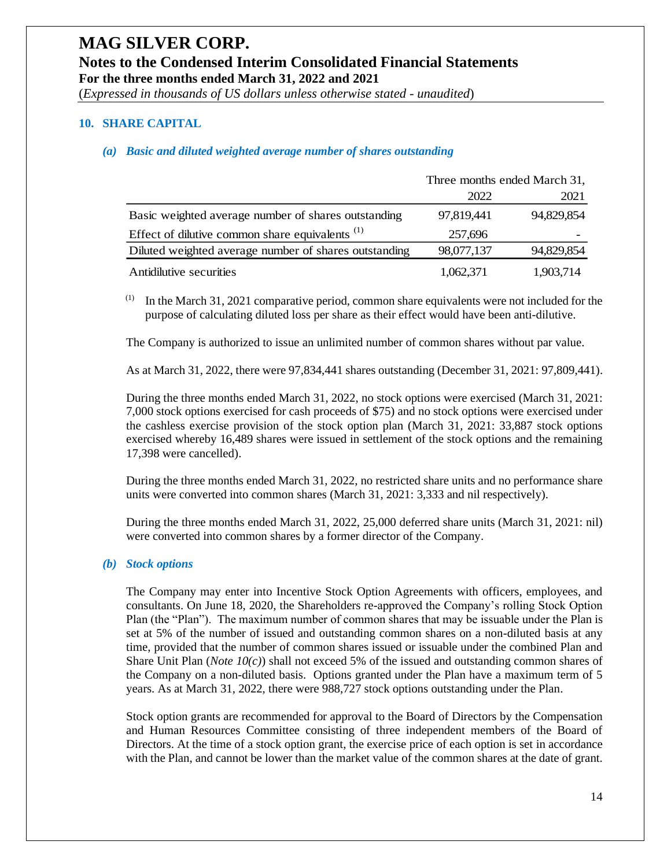(*Expressed in thousands of US dollars unless otherwise stated - unaudited*)

#### **10. SHARE CAPITAL**

#### *(a) Basic and diluted weighted average number of shares outstanding*

|                                                            | Three months ended March 31, |            |
|------------------------------------------------------------|------------------------------|------------|
|                                                            | 2022                         | 2021       |
| Basic weighted average number of shares outstanding        | 97,819,441                   | 94,829,854 |
| Effect of dilutive common share equivalents <sup>(1)</sup> | 257,696                      |            |
| Diluted weighted average number of shares outstanding      | 98,077,137                   | 94,829,854 |
| Antidilutive securities                                    | 1,062,371                    | 1,903,714  |

 $(1)$  In the March 31, 2021 comparative period, common share equivalents were not included for the purpose of calculating diluted loss per share as their effect would have been anti-dilutive.

The Company is authorized to issue an unlimited number of common shares without par value.

As at March 31, 2022, there were 97,834,441 shares outstanding (December 31, 2021: 97,809,441).

During the three months ended March 31, 2022, no stock options were exercised (March 31, 2021: 7,000 stock options exercised for cash proceeds of \$75) and no stock options were exercised under the cashless exercise provision of the stock option plan (March 31, 2021: 33,887 stock options exercised whereby 16,489 shares were issued in settlement of the stock options and the remaining 17,398 were cancelled).

During the three months ended March 31, 2022, no restricted share units and no performance share units were converted into common shares (March 31, 2021: 3,333 and nil respectively).

During the three months ended March 31, 2022, 25,000 deferred share units (March 31, 2021: nil) were converted into common shares by a former director of the Company.

#### *(b) Stock options*

The Company may enter into Incentive Stock Option Agreements with officers, employees, and consultants. On June 18, 2020, the Shareholders re-approved the Company's rolling Stock Option Plan (the "Plan"). The maximum number of common shares that may be issuable under the Plan is set at 5% of the number of issued and outstanding common shares on a non-diluted basis at any time, provided that the number of common shares issued or issuable under the combined Plan and Share Unit Plan (*Note 10(c)*) shall not exceed 5% of the issued and outstanding common shares of the Company on a non-diluted basis. Options granted under the Plan have a maximum term of 5 years. As at March 31, 2022, there were 988,727 stock options outstanding under the Plan.

Stock option grants are recommended for approval to the Board of Directors by the Compensation and Human Resources Committee consisting of three independent members of the Board of Directors. At the time of a stock option grant, the exercise price of each option is set in accordance with the Plan, and cannot be lower than the market value of the common shares at the date of grant.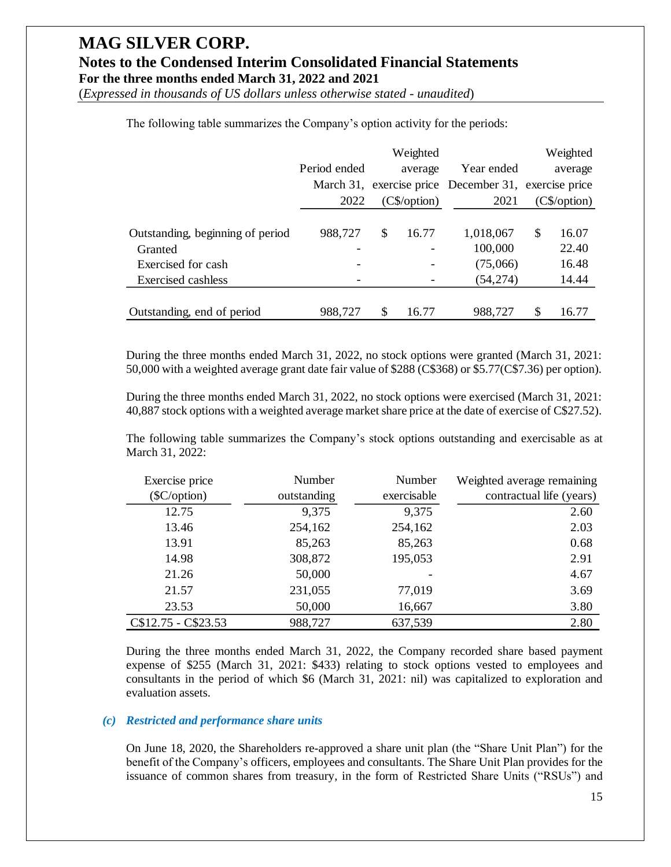(*Expressed in thousands of US dollars unless otherwise stated - unaudited*)

|                                  |              |    | Weighted       |                                                      |                 | Weighted |
|----------------------------------|--------------|----|----------------|------------------------------------------------------|-----------------|----------|
|                                  | Period ended |    | average        | Year ended                                           |                 | average  |
|                                  |              |    |                | March 31, exercise price December 31, exercise price |                 |          |
|                                  | 2022         |    | $(C\$ /option) | 2021                                                 | $(C\$ {0ption}) |          |
|                                  |              |    |                |                                                      |                 |          |
| Outstanding, beginning of period | 988,727      | \$ | 16.77          | 1,018,067                                            | $\mathbb{S}$    | 16.07    |
| Granted                          |              |    |                | 100,000                                              |                 | 22.40    |
| Exercised for cash               |              |    |                | (75,066)                                             |                 | 16.48    |
| Exercised cashless               |              |    |                | (54, 274)                                            |                 | 14.44    |
|                                  |              |    |                |                                                      |                 |          |
| Outstanding, end of period       | 988,727      | S  | 16.77          | 988.727                                              | \$              | 16.77    |

The following table summarizes the Company's option activity for the periods:

During the three months ended March 31, 2022, no stock options were granted (March 31, 2021: 50,000 with a weighted average grant date fair value of \$288 (C\$368) or \$5.77(C\$7.36) per option).

During the three months ended March 31, 2022, no stock options were exercised (March 31, 2021: 40,887 stock options with a weighted average market share price at the date of exercise of C\$27.52).

The following table summarizes the Company's stock options outstanding and exercisable as at March 31, 2022:

| Exercise price       | Number      | Number      | Weighted average remaining |
|----------------------|-------------|-------------|----------------------------|
| ( <b>SC</b> /option) | outstanding | exercisable | contractual life (years)   |
| 12.75                | 9,375       | 9,375       | 2.60                       |
| 13.46                | 254,162     | 254,162     | 2.03                       |
| 13.91                | 85,263      | 85,263      | 0.68                       |
| 14.98                | 308,872     | 195,053     | 2.91                       |
| 21.26                | 50,000      |             | 4.67                       |
| 21.57                | 231,055     | 77,019      | 3.69                       |
| 23.53                | 50,000      | 16,667      | 3.80                       |
| C\$12.75 - C\$23.53  | 988,727     | 637,539     | 2.80                       |

During the three months ended March 31, 2022, the Company recorded share based payment expense of \$255 (March 31, 2021: \$433) relating to stock options vested to employees and consultants in the period of which \$6 (March 31, 2021: nil) was capitalized to exploration and evaluation assets.

#### *(c) Restricted and performance share units*

On June 18, 2020, the Shareholders re-approved a share unit plan (the "Share Unit Plan") for the benefit of the Company's officers, employees and consultants. The Share Unit Plan provides for the issuance of common shares from treasury, in the form of Restricted Share Units ("RSUs") and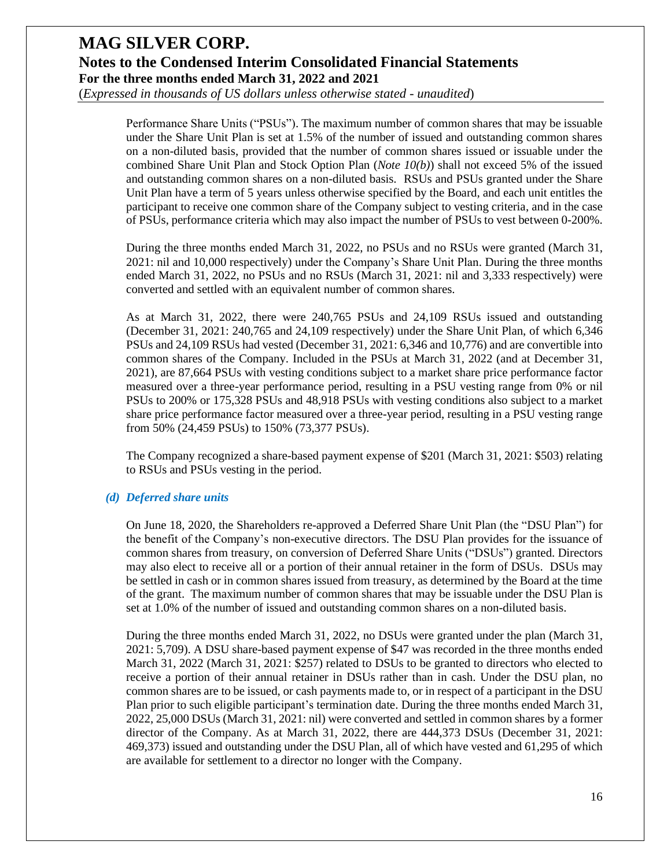(*Expressed in thousands of US dollars unless otherwise stated - unaudited*)

Performance Share Units ("PSUs"). The maximum number of common shares that may be issuable under the Share Unit Plan is set at 1.5% of the number of issued and outstanding common shares on a non-diluted basis, provided that the number of common shares issued or issuable under the combined Share Unit Plan and Stock Option Plan (*Note 10(b)*) shall not exceed 5% of the issued and outstanding common shares on a non-diluted basis. RSUs and PSUs granted under the Share Unit Plan have a term of 5 years unless otherwise specified by the Board, and each unit entitles the participant to receive one common share of the Company subject to vesting criteria, and in the case of PSUs, performance criteria which may also impact the number of PSUs to vest between 0-200%.

During the three months ended March 31, 2022, no PSUs and no RSUs were granted (March 31, 2021: nil and 10,000 respectively) under the Company's Share Unit Plan. During the three months ended March 31, 2022, no PSUs and no RSUs (March 31, 2021: nil and 3,333 respectively) were converted and settled with an equivalent number of common shares.

As at March 31, 2022, there were 240,765 PSUs and 24,109 RSUs issued and outstanding (December 31, 2021: 240,765 and 24,109 respectively) under the Share Unit Plan, of which 6,346 PSUs and 24,109 RSUs had vested (December 31, 2021: 6,346 and 10,776) and are convertible into common shares of the Company. Included in the PSUs at March 31, 2022 (and at December 31, 2021), are 87,664 PSUs with vesting conditions subject to a market share price performance factor measured over a three-year performance period, resulting in a PSU vesting range from 0% or nil PSUs to 200% or 175,328 PSUs and 48,918 PSUs with vesting conditions also subject to a market share price performance factor measured over a three-year period, resulting in a PSU vesting range from 50% (24,459 PSUs) to 150% (73,377 PSUs).

The Company recognized a share-based payment expense of \$201 (March 31, 2021: \$503) relating to RSUs and PSUs vesting in the period.

#### *(d) Deferred share units*

On June 18, 2020, the Shareholders re-approved a Deferred Share Unit Plan (the "DSU Plan") for the benefit of the Company's non-executive directors. The DSU Plan provides for the issuance of common shares from treasury, on conversion of Deferred Share Units ("DSUs") granted. Directors may also elect to receive all or a portion of their annual retainer in the form of DSUs. DSUs may be settled in cash or in common shares issued from treasury, as determined by the Board at the time of the grant. The maximum number of common shares that may be issuable under the DSU Plan is set at 1.0% of the number of issued and outstanding common shares on a non-diluted basis.

During the three months ended March 31, 2022, no DSUs were granted under the plan (March 31, 2021: 5,709). A DSU share-based payment expense of \$47 was recorded in the three months ended March 31, 2022 (March 31, 2021: \$257) related to DSUs to be granted to directors who elected to receive a portion of their annual retainer in DSUs rather than in cash. Under the DSU plan, no common shares are to be issued, or cash payments made to, or in respect of a participant in the DSU Plan prior to such eligible participant's termination date. During the three months ended March 31, 2022, 25,000 DSUs (March 31, 2021: nil) were converted and settled in common shares by a former director of the Company. As at March 31, 2022, there are 444,373 DSUs (December 31, 2021: 469,373) issued and outstanding under the DSU Plan, all of which have vested and 61,295 of which are available for settlement to a director no longer with the Company.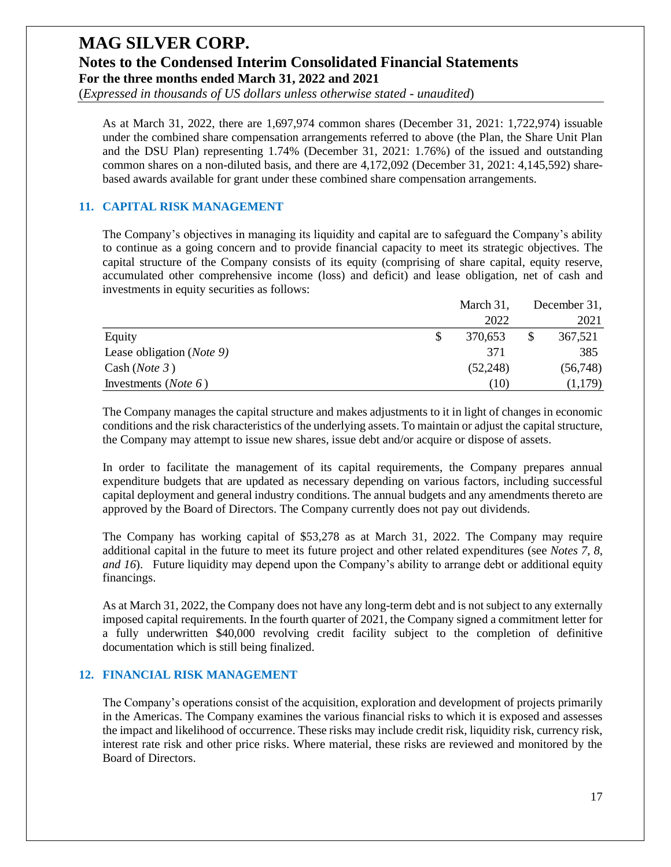(*Expressed in thousands of US dollars unless otherwise stated - unaudited*)

As at March 31, 2022, there are 1,697,974 common shares (December 31, 2021: 1,722,974) issuable under the combined share compensation arrangements referred to above (the Plan, the Share Unit Plan and the DSU Plan) representing 1.74% (December 31, 2021: 1.76%) of the issued and outstanding common shares on a non-diluted basis, and there are 4,172,092 (December 31, 2021: 4,145,592) sharebased awards available for grant under these combined share compensation arrangements.

#### **11. CAPITAL RISK MANAGEMENT**

The Company's objectives in managing its liquidity and capital are to safeguard the Company's ability to continue as a going concern and to provide financial capacity to meet its strategic objectives. The capital structure of the Company consists of its equity (comprising of share capital, equity reserve, accumulated other comprehensive income (loss) and deficit) and lease obligation, net of cash and investments in equity securities as follows:

|                                    |  | December 31, |          |  |
|------------------------------------|--|--------------|----------|--|
|                                    |  | 2022         | 2021     |  |
| Equity                             |  | 370.653      | 367,521  |  |
| Lease obligation ( <i>Note 9</i> ) |  | 371          | 385      |  |
| Cash (Note 3)                      |  | (52,248)     | (56,748) |  |
| Investments ( <i>Note</i> $6$ )    |  | (10)         | (1,179)  |  |

The Company manages the capital structure and makes adjustments to it in light of changes in economic conditions and the risk characteristics of the underlying assets. To maintain or adjust the capital structure, the Company may attempt to issue new shares, issue debt and/or acquire or dispose of assets.

In order to facilitate the management of its capital requirements, the Company prepares annual expenditure budgets that are updated as necessary depending on various factors, including successful capital deployment and general industry conditions. The annual budgets and any amendments thereto are approved by the Board of Directors. The Company currently does not pay out dividends.

The Company has working capital of \$53,278 as at March 31, 2022. The Company may require additional capital in the future to meet its future project and other related expenditures (see *Notes 7, 8, and 16*). Future liquidity may depend upon the Company's ability to arrange debt or additional equity financings.

As at March 31, 2022, the Company does not have any long-term debt and is not subject to any externally imposed capital requirements. In the fourth quarter of 2021, the Company signed a commitment letter for a fully underwritten \$40,000 revolving credit facility subject to the completion of definitive documentation which is still being finalized.

#### **12. FINANCIAL RISK MANAGEMENT**

The Company's operations consist of the acquisition, exploration and development of projects primarily in the Americas. The Company examines the various financial risks to which it is exposed and assesses the impact and likelihood of occurrence. These risks may include credit risk, liquidity risk, currency risk, interest rate risk and other price risks. Where material, these risks are reviewed and monitored by the Board of Directors.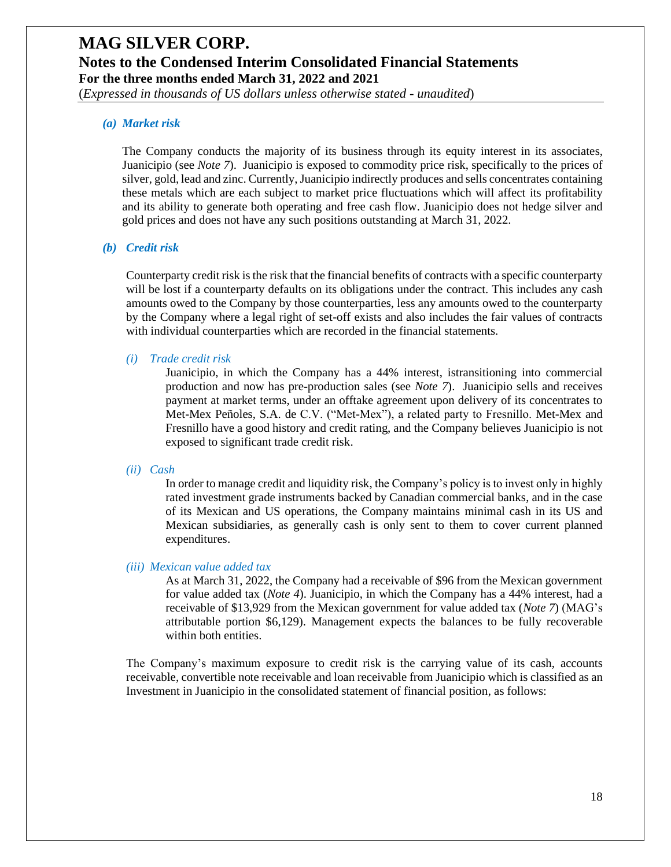(*Expressed in thousands of US dollars unless otherwise stated - unaudited*)

#### *(a) Market risk*

The Company conducts the majority of its business through its equity interest in its associates, Juanicipio (see *Note 7*). Juanicipio is exposed to commodity price risk, specifically to the prices of silver, gold, lead and zinc. Currently, Juanicipio indirectly produces and sells concentrates containing these metals which are each subject to market price fluctuations which will affect its profitability and its ability to generate both operating and free cash flow. Juanicipio does not hedge silver and gold prices and does not have any such positions outstanding at March 31, 2022.

#### *(b) Credit risk*

Counterparty credit risk is the risk that the financial benefits of contracts with a specific counterparty will be lost if a counterparty defaults on its obligations under the contract. This includes any cash amounts owed to the Company by those counterparties, less any amounts owed to the counterparty by the Company where a legal right of set-off exists and also includes the fair values of contracts with individual counterparties which are recorded in the financial statements.

#### *(i) Trade credit risk*

Juanicipio, in which the Company has a 44% interest, istransitioning into commercial production and now has pre-production sales (see *Note 7*). Juanicipio sells and receives payment at market terms, under an offtake agreement upon delivery of its concentrates to Met-Mex Peñoles, S.A. de C.V. ("Met-Mex"), a related party to Fresnillo. Met-Mex and Fresnillo have a good history and credit rating, and the Company believes Juanicipio is not exposed to significant trade credit risk.

#### *(ii) Cash*

In order to manage credit and liquidity risk, the Company's policy is to invest only in highly rated investment grade instruments backed by Canadian commercial banks, and in the case of its Mexican and US operations, the Company maintains minimal cash in its US and Mexican subsidiaries, as generally cash is only sent to them to cover current planned expenditures.

#### *(iii) Mexican value added tax*

As at March 31, 2022, the Company had a receivable of \$96 from the Mexican government for value added tax (*Note 4*). Juanicipio, in which the Company has a 44% interest, had a receivable of \$13,929 from the Mexican government for value added tax (*Note 7*) (MAG's attributable portion \$6,129). Management expects the balances to be fully recoverable within both entities.

The Company's maximum exposure to credit risk is the carrying value of its cash, accounts receivable, convertible note receivable and loan receivable from Juanicipio which is classified as an Investment in Juanicipio in the consolidated statement of financial position, as follows: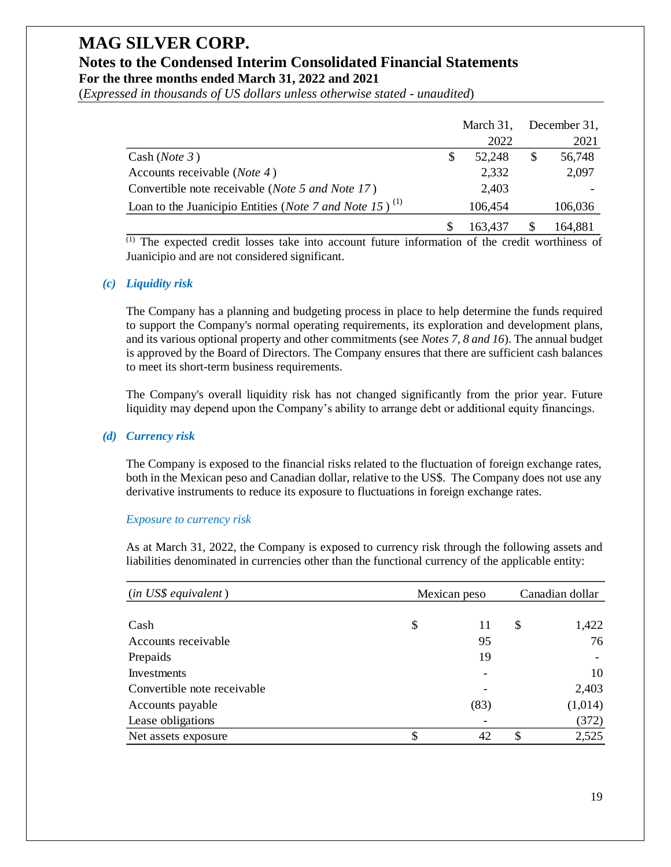(*Expressed in thousands of US dollars unless otherwise stated - unaudited*)

|                                                                              |   | March 31, | December 31, |
|------------------------------------------------------------------------------|---|-----------|--------------|
|                                                                              |   | 2022      | 2021         |
| Cash (Note 3)                                                                | S | 52.248    | \$<br>56,748 |
| Accounts receivable ( <i>Note 4</i> )                                        |   | 2,332     | 2,097        |
| Convertible note receivable ( <i>Note 5 and Note 17</i> )                    |   | 2,403     |              |
| Loan to the Juanicipio Entities ( <i>Note 7 and Note 15</i> ) <sup>(1)</sup> |   | 106,454   | 106,036      |
|                                                                              |   | 163.437   | 164,881      |

#### *(c) Liquidity risk*

#### *(d) Currency risk*

#### *Exposure to currency risk*

|                                                                                                                                                                                                                                                                                                                                                                                                                                                               |              | March 31, | December 31,    |
|---------------------------------------------------------------------------------------------------------------------------------------------------------------------------------------------------------------------------------------------------------------------------------------------------------------------------------------------------------------------------------------------------------------------------------------------------------------|--------------|-----------|-----------------|
|                                                                                                                                                                                                                                                                                                                                                                                                                                                               |              | 2022      | 2021            |
| Cash ( <i>Note</i> $3$ )                                                                                                                                                                                                                                                                                                                                                                                                                                      | \$           | 52,248    | \$<br>56,748    |
| Accounts receivable ( <i>Note 4</i> )                                                                                                                                                                                                                                                                                                                                                                                                                         |              | 2,332     | 2,097           |
| Convertible note receivable (Note 5 and Note 17)                                                                                                                                                                                                                                                                                                                                                                                                              |              | 2,403     |                 |
| Loan to the Juanicipio Entities ( <i>Note 7 and Note 15</i> ) <sup>(1)</sup>                                                                                                                                                                                                                                                                                                                                                                                  |              | 106,454   | 106,036         |
|                                                                                                                                                                                                                                                                                                                                                                                                                                                               | \$           | 163,437   | \$<br>164,881   |
| $\overline{^{(1)}}$ The expected credit losses take into account future information of the credit worthiness of<br>Juanicipio and are not considered significant.                                                                                                                                                                                                                                                                                             |              |           |                 |
| <b>Liquidity risk</b>                                                                                                                                                                                                                                                                                                                                                                                                                                         |              |           |                 |
| The Company has a planning and budgeting process in place to help determine the funds required<br>to support the Company's normal operating requirements, its exploration and development plans,<br>and its various optional property and other commitments (see Notes 7, 8 and 16). The annual budget<br>is approved by the Board of Directors. The Company ensures that there are sufficient cash balances<br>to meet its short-term business requirements. |              |           |                 |
| The Company's overall liquidity risk has not changed significantly from the prior year. Future<br>liquidity may depend upon the Company's ability to arrange debt or additional equity financings.                                                                                                                                                                                                                                                            |              |           |                 |
| <b>Currency risk</b>                                                                                                                                                                                                                                                                                                                                                                                                                                          |              |           |                 |
| The Company is exposed to the financial risks related to the fluctuation of foreign exchange rates,<br>both in the Mexican peso and Canadian dollar, relative to the US\$. The Company does not use any<br>derivative instruments to reduce its exposure to fluctuations in foreign exchange rates.                                                                                                                                                           |              |           |                 |
| <b>Exposure to currency risk</b>                                                                                                                                                                                                                                                                                                                                                                                                                              |              |           |                 |
| As at March 31, 2022, the Company is exposed to currency risk through the following assets and<br>liabilities denominated in currencies other than the functional currency of the applicable entity:                                                                                                                                                                                                                                                          |              |           |                 |
| (in US\$ equivalent)                                                                                                                                                                                                                                                                                                                                                                                                                                          | Mexican peso |           | Canadian dollar |
| Cash                                                                                                                                                                                                                                                                                                                                                                                                                                                          | \$           | 11        | \$<br>1,422     |
| Accounts receivable                                                                                                                                                                                                                                                                                                                                                                                                                                           |              | 95        | 76              |
| Prepaids                                                                                                                                                                                                                                                                                                                                                                                                                                                      |              | 19        |                 |
| Investments                                                                                                                                                                                                                                                                                                                                                                                                                                                   |              |           | 10              |
| Convertible note receivable                                                                                                                                                                                                                                                                                                                                                                                                                                   |              |           | 2,403           |
| Accounts payable                                                                                                                                                                                                                                                                                                                                                                                                                                              |              | (83)      | (1,014)         |
| Lease obligations                                                                                                                                                                                                                                                                                                                                                                                                                                             |              |           | (372)           |
| Net assets exposure                                                                                                                                                                                                                                                                                                                                                                                                                                           | \$           | 42        | \$<br>2,525     |
|                                                                                                                                                                                                                                                                                                                                                                                                                                                               |              |           |                 |
|                                                                                                                                                                                                                                                                                                                                                                                                                                                               |              |           |                 |
|                                                                                                                                                                                                                                                                                                                                                                                                                                                               |              |           |                 |
|                                                                                                                                                                                                                                                                                                                                                                                                                                                               |              |           | 19              |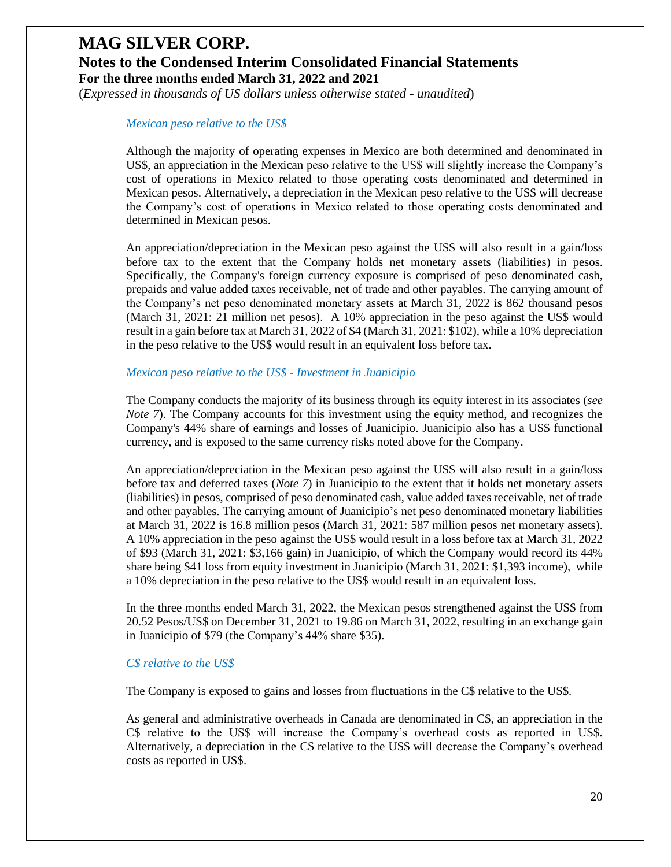### **MAG SILVER CORP. Notes to the Condensed Interim Consolidated Financial Statements For the three months ended March 31, 2022 and 2021** (*Expressed in thousands of US dollars unless otherwise stated - unaudited*)

#### *Mexican peso relative to the US\$*

Although the majority of operating expenses in Mexico are both determined and denominated in US\$, an appreciation in the Mexican peso relative to the US\$ will slightly increase the Company's cost of operations in Mexico related to those operating costs denominated and determined in Mexican pesos. Alternatively, a depreciation in the Mexican peso relative to the US\$ will decrease the Company's cost of operations in Mexico related to those operating costs denominated and determined in Mexican pesos.

An appreciation/depreciation in the Mexican peso against the US\$ will also result in a gain/loss before tax to the extent that the Company holds net monetary assets (liabilities) in pesos. Specifically, the Company's foreign currency exposure is comprised of peso denominated cash, prepaids and value added taxes receivable, net of trade and other payables. The carrying amount of the Company's net peso denominated monetary assets at March 31, 2022 is 862 thousand pesos (March 31, 2021: 21 million net pesos). A 10% appreciation in the peso against the US\$ would result in a gain before tax at March 31, 2022 of \$4 (March 31, 2021: \$102), while a 10% depreciation in the peso relative to the US\$ would result in an equivalent loss before tax.

#### *Mexican peso relative to the US\$ - Investment in Juanicipio*

The Company conducts the majority of its business through its equity interest in its associates (*see Note 7*). The Company accounts for this investment using the equity method, and recognizes the Company's 44% share of earnings and losses of Juanicipio. Juanicipio also has a US\$ functional currency, and is exposed to the same currency risks noted above for the Company.

An appreciation/depreciation in the Mexican peso against the US\$ will also result in a gain/loss before tax and deferred taxes (*Note 7*) in Juanicipio to the extent that it holds net monetary assets (liabilities) in pesos, comprised of peso denominated cash, value added taxes receivable, net of trade and other payables. The carrying amount of Juanicipio's net peso denominated monetary liabilities at March 31, 2022 is 16.8 million pesos (March 31, 2021: 587 million pesos net monetary assets). A 10% appreciation in the peso against the US\$ would result in a loss before tax at March 31, 2022 of \$93 (March 31, 2021: \$3,166 gain) in Juanicipio, of which the Company would record its 44% share being \$41 loss from equity investment in Juanicipio (March 31, 2021: \$1,393 income), while a 10% depreciation in the peso relative to the US\$ would result in an equivalent loss.

In the three months ended March 31, 2022, the Mexican pesos strengthened against the US\$ from 20.52 Pesos/US\$ on December 31, 2021 to 19.86 on March 31, 2022, resulting in an exchange gain in Juanicipio of \$79 (the Company's 44% share \$35).

#### *C\$ relative to the US\$*

The Company is exposed to gains and losses from fluctuations in the C\$ relative to the US\$.

As general and administrative overheads in Canada are denominated in C\$, an appreciation in the C\$ relative to the US\$ will increase the Company's overhead costs as reported in US\$. Alternatively, a depreciation in the C\$ relative to the US\$ will decrease the Company's overhead costs as reported in US\$.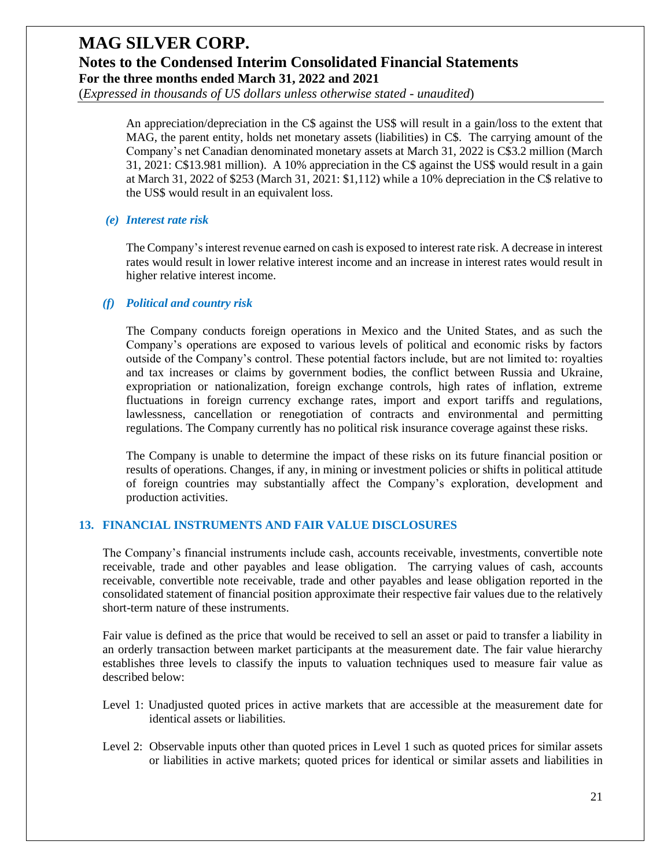(*Expressed in thousands of US dollars unless otherwise stated - unaudited*)

An appreciation/depreciation in the C\$ against the US\$ will result in a gain/loss to the extent that MAG, the parent entity, holds net monetary assets (liabilities) in C\$. The carrying amount of the Company's net Canadian denominated monetary assets at March 31, 2022 is C\$3.2 million (March 31, 2021: C\$13.981 million). A 10% appreciation in the C\$ against the US\$ would result in a gain at March 31, 2022 of \$253 (March 31, 2021: \$1,112) while a 10% depreciation in the C\$ relative to the US\$ would result in an equivalent loss.

#### *(e) Interest rate risk*

The Company's interest revenue earned on cash is exposed to interest rate risk. A decrease in interest rates would result in lower relative interest income and an increase in interest rates would result in higher relative interest income.

#### *(f) Political and country risk*

The Company conducts foreign operations in Mexico and the United States, and as such the Company's operations are exposed to various levels of political and economic risks by factors outside of the Company's control. These potential factors include, but are not limited to: royalties and tax increases or claims by government bodies, the conflict between Russia and Ukraine, expropriation or nationalization, foreign exchange controls, high rates of inflation, extreme fluctuations in foreign currency exchange rates, import and export tariffs and regulations, lawlessness, cancellation or renegotiation of contracts and environmental and permitting regulations. The Company currently has no political risk insurance coverage against these risks.

The Company is unable to determine the impact of these risks on its future financial position or results of operations. Changes, if any, in mining or investment policies or shifts in political attitude of foreign countries may substantially affect the Company's exploration, development and production activities.

#### **13. FINANCIAL INSTRUMENTS AND FAIR VALUE DISCLOSURES**

The Company's financial instruments include cash, accounts receivable, investments, convertible note receivable, trade and other payables and lease obligation. The carrying values of cash, accounts receivable, convertible note receivable, trade and other payables and lease obligation reported in the consolidated statement of financial position approximate their respective fair values due to the relatively short-term nature of these instruments.

Fair value is defined as the price that would be received to sell an asset or paid to transfer a liability in an orderly transaction between market participants at the measurement date. The fair value hierarchy establishes three levels to classify the inputs to valuation techniques used to measure fair value as described below:

- Level 1: Unadjusted quoted prices in active markets that are accessible at the measurement date for identical assets or liabilities.
- Level 2: Observable inputs other than quoted prices in Level 1 such as quoted prices for similar assets or liabilities in active markets; quoted prices for identical or similar assets and liabilities in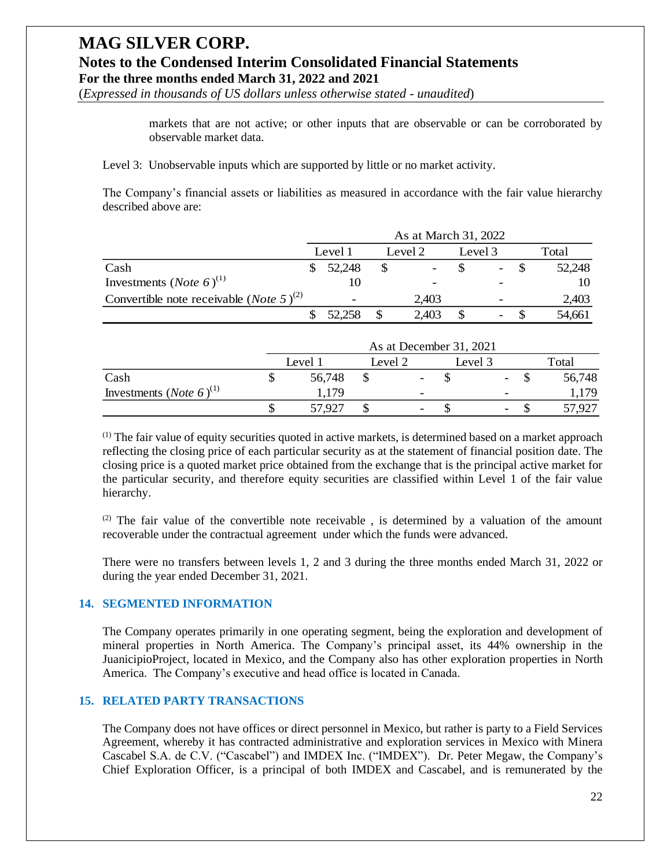(*Expressed in thousands of US dollars unless otherwise stated - unaudited*)

markets that are not active; or other inputs that are observable or can be corroborated by observable market data.

Level 3: Unobservable inputs which are supported by little or no market activity.

The Company's financial assets or liabilities as measured in accordance with the fair value hierarchy described above are:

|                                                             | As at March 31, 2022 |                          |  |                          |  |                          |  |        |
|-------------------------------------------------------------|----------------------|--------------------------|--|--------------------------|--|--------------------------|--|--------|
|                                                             |                      | Level 1                  |  | Level 2                  |  | Level 3                  |  | Total  |
| Cash                                                        |                      | 52,248                   |  | $\overline{\phantom{a}}$ |  | $\overline{\phantom{0}}$ |  | 52,248 |
| Investments ( <i>Note</i> 6) <sup>(1)</sup>                 |                      | 10                       |  | $\overline{\phantom{a}}$ |  |                          |  | 10     |
| Convertible note receivable ( <i>Note</i> 5) <sup>(2)</sup> |                      | $\overline{\phantom{0}}$ |  | 2.403                    |  | $\overline{\phantom{0}}$ |  | 2,403  |
|                                                             |                      | 52,258                   |  | 2,403                    |  | -                        |  | 54.661 |

|                                             |         | As at December 31, 2021 |                          |        |
|---------------------------------------------|---------|-------------------------|--------------------------|--------|
|                                             | Level 1 | Level 2                 | Level 3                  | Total  |
| Cash                                        | 56,748  |                         | $\sim$                   | 56,748 |
| Investments ( <i>Note</i> 6) <sup>(1)</sup> | . 179   |                         |                          | 1,179  |
|                                             | 57,927  |                         | $\overline{\phantom{0}}$ | 57,927 |

(1) The fair value of equity securities quoted in active markets, is determined based on a market approach reflecting the closing price of each particular security as at the statement of financial position date. The closing price is a quoted market price obtained from the exchange that is the principal active market for the particular security, and therefore equity securities are classified within Level 1 of the fair value hierarchy.

 $(2)$  The fair value of the convertible note receivable, is determined by a valuation of the amount recoverable under the contractual agreement under which the funds were advanced.

There were no transfers between levels 1, 2 and 3 during the three months ended March 31, 2022 or during the year ended December 31, 2021.

#### **14. SEGMENTED INFORMATION**

The Company operates primarily in one operating segment, being the exploration and development of mineral properties in North America. The Company's principal asset, its 44% ownership in the JuanicipioProject, located in Mexico, and the Company also has other exploration properties in North America. The Company's executive and head office is located in Canada.

#### **15. RELATED PARTY TRANSACTIONS**

The Company does not have offices or direct personnel in Mexico, but rather is party to a Field Services Agreement, whereby it has contracted administrative and exploration services in Mexico with Minera Cascabel S.A. de C.V. ("Cascabel") and IMDEX Inc. ("IMDEX"). Dr. Peter Megaw, the Company's Chief Exploration Officer, is a principal of both IMDEX and Cascabel, and is remunerated by the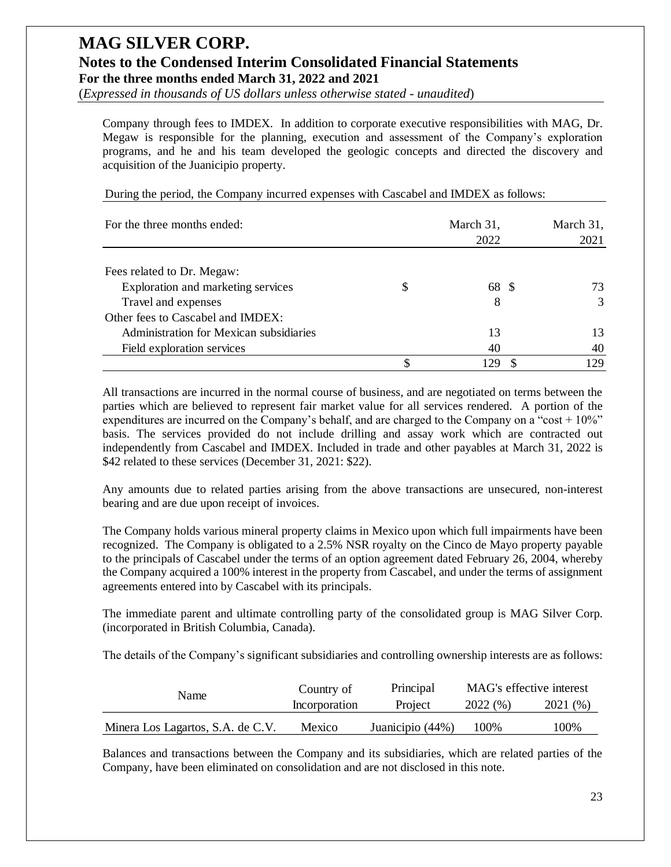(*Expressed in thousands of US dollars unless otherwise stated - unaudited*)

Company through fees to IMDEX. In addition to corporate executive responsibilities with MAG, Dr. Megaw is responsible for the planning, execution and assessment of the Company's exploration programs, and he and his team developed the geologic concepts and directed the discovery and acquisition of the Juanicipio property.

| For the three months ended:             | March 31,<br>2022 | March 31,<br>2021 |
|-----------------------------------------|-------------------|-------------------|
| Fees related to Dr. Megaw:              |                   |                   |
| Exploration and marketing services      | \$<br>68 \$       | 73                |
| Travel and expenses                     | 8                 | $\mathcal{F}$     |
| Other fees to Cascabel and IMDEX:       |                   |                   |
| Administration for Mexican subsidiaries | 13                | 13                |
| Field exploration services              | 40                | 40                |
|                                         | 129               | 129               |

During the period, the Company incurred expenses with Cascabel and IMDEX as follows:

All transactions are incurred in the normal course of business, and are negotiated on terms between the parties which are believed to represent fair market value for all services rendered. A portion of the expenditures are incurred on the Company's behalf, and are charged to the Company on a "cost  $+10\%$ " basis. The services provided do not include drilling and assay work which are contracted out independently from Cascabel and IMDEX. Included in trade and other payables at March 31, 2022 is \$42 related to these services (December 31, 2021: \$22).

Any amounts due to related parties arising from the above transactions are unsecured, non-interest bearing and are due upon receipt of invoices.

The Company holds various mineral property claims in Mexico upon which full impairments have been recognized. The Company is obligated to a 2.5% NSR royalty on the Cinco de Mayo property payable to the principals of Cascabel under the terms of an option agreement dated February 26, 2004, whereby the Company acquired a 100% interest in the property from Cascabel, and under the terms of assignment agreements entered into by Cascabel with its principals.

The immediate parent and ultimate controlling party of the consolidated group is MAG Silver Corp. (incorporated in British Columbia, Canada).

The details of the Company's significant subsidiaries and controlling ownership interests are as follows:

| Name                              | Country of    | Principal        |         | MAG's effective interest |  |
|-----------------------------------|---------------|------------------|---------|--------------------------|--|
|                                   | Incorporation | Project          | 2022(%) | 2021 (%)                 |  |
| Minera Los Lagartos, S.A. de C.V. | Mexico        | Juanicipio (44%) | 100%    | 100%                     |  |

Balances and transactions between the Company and its subsidiaries, which are related parties of the Company, have been eliminated on consolidation and are not disclosed in this note.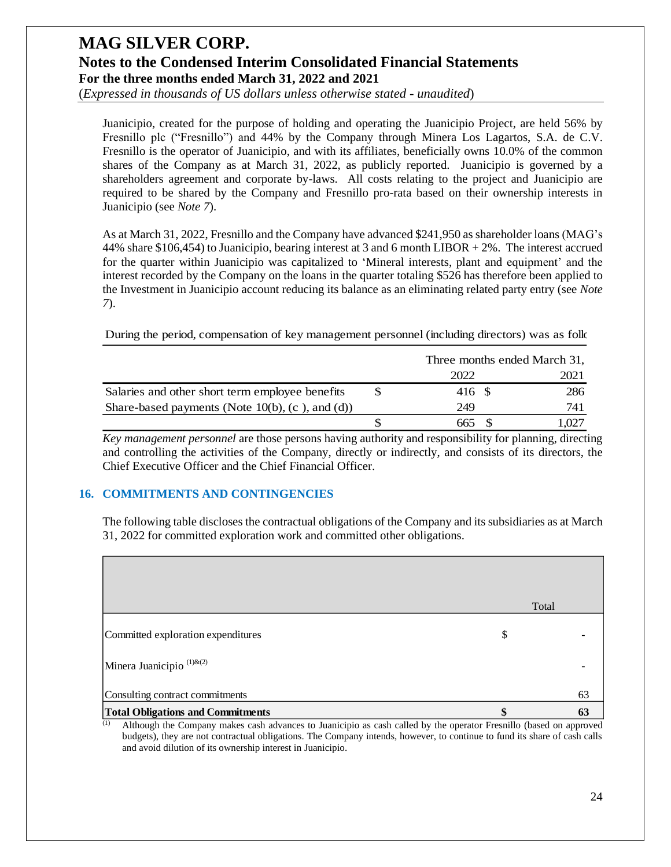(*Expressed in thousands of US dollars unless otherwise stated - unaudited*)

Juanicipio, created for the purpose of holding and operating the Juanicipio Project, are held 56% by Fresnillo plc ("Fresnillo") and 44% by the Company through Minera Los Lagartos, S.A. de C.V. Fresnillo is the operator of Juanicipio, and with its affiliates, beneficially owns 10.0% of the common shares of the Company as at March 31, 2022, as publicly reported. Juanicipio is governed by a shareholders agreement and corporate by-laws. All costs relating to the project and Juanicipio are required to be shared by the Company and Fresnillo pro-rata based on their ownership interests in Juanicipio (see *Note 7*).

As at March 31, 2022, Fresnillo and the Company have advanced \$241,950 as shareholder loans (MAG's 44% share \$106,454) to Juanicipio, bearing interest at 3 and 6 month LIBOR + 2%. The interest accrued for the quarter within Juanicipio was capitalized to 'Mineral interests, plant and equipment' and the interest recorded by the Company on the loans in the quarter totaling \$526 has therefore been applied to the Investment in Juanicipio account reducing its balance as an eliminating related party entry (see *Note 7*).

During the period, compensation of key management personnel (including directors) was as folk

|                                                    | Three months ended March 31, |      |
|----------------------------------------------------|------------------------------|------|
|                                                    | 2022                         | 2021 |
| Salaries and other short term employee benefits    | 416 \$                       | 286  |
| Share-based payments (Note $10(b)$ , (c), and (d)) | 249                          | 741  |
|                                                    | 665                          | .027 |

*Key management personnel* are those persons having authority and responsibility for planning, directing and controlling the activities of the Company, directly or indirectly, and consists of its directors, the Chief Executive Officer and the Chief Financial Officer.

#### **16. COMMITMENTS AND CONTINGENCIES**

The following table discloses the contractual obligations of the Company and its subsidiaries as at March 31, 2022 for committed exploration work and committed other obligations.

|                                          | Total    |
|------------------------------------------|----------|
| Committed exploration expenditures       | \$       |
| Minera Juanicipio <sup>(1)&amp;(2)</sup> |          |
| Consulting contract commitments          | 63       |
| <b>Total Obligations and Commitments</b> | \$<br>63 |

(1) Although the Company makes cash advances to Juanicipio as cash called by the operator Fresnillo (based on approved budgets), they are not contractual obligations. The Company intends, however, to continue to fund its share of cash calls and avoid dilution of its ownership interest in Juanicipio.